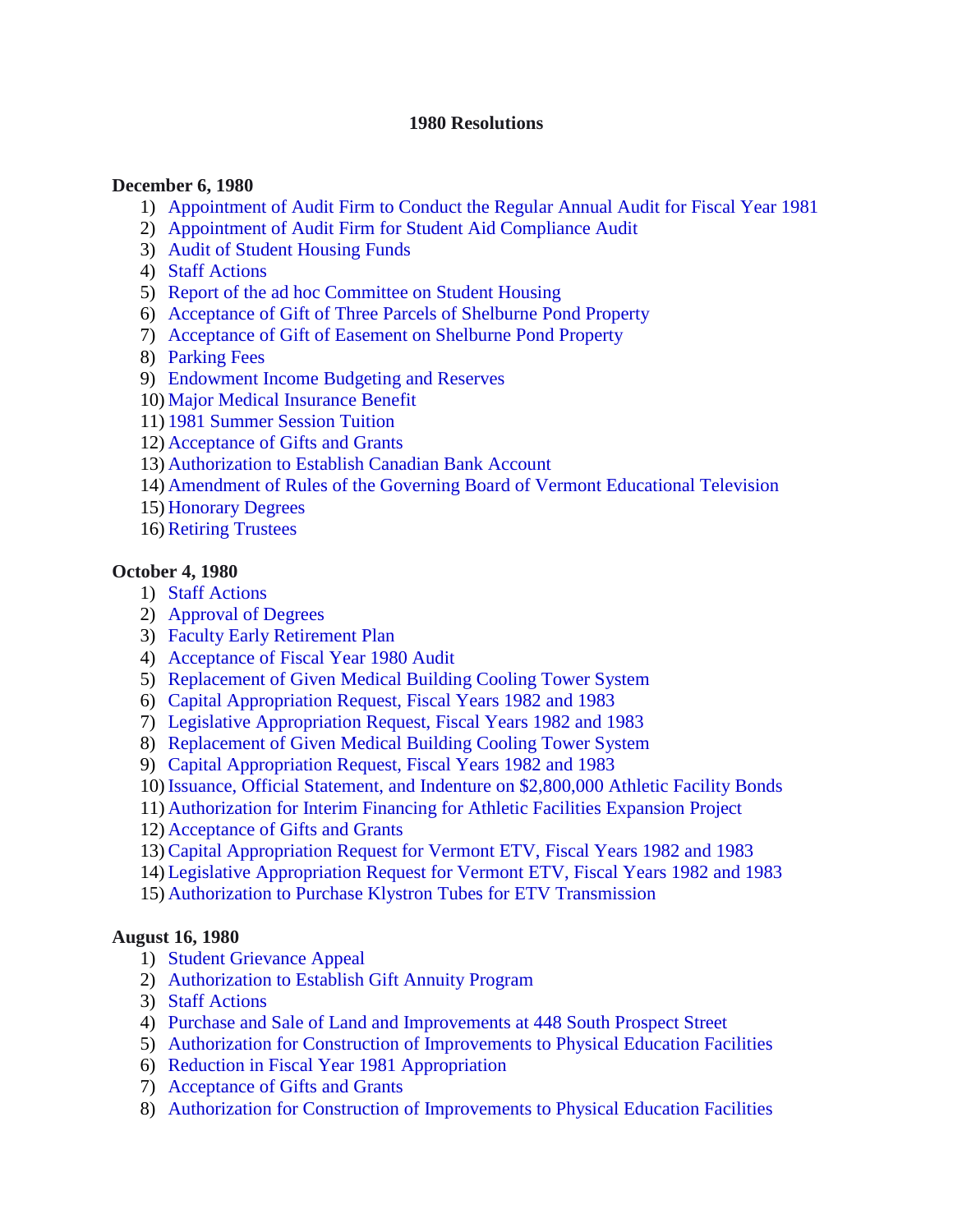### **1980 Resolutions**

#### **December 6, 1980**

- 1) [Appointment of Audit Firm to Conduct the Regular Annual Audit for Fiscal Year 1981](#page-3-0)
- 2) [Appointment of Audit Firm for Student Aid Compliance Audit](#page-3-0)
- 3) [Audit of Student Housing Funds](#page-3-0)
- 4) [Staff Actions](#page-4-0)
- 5) [Report of the ad hoc Committee on](#page-4-0) Student Housing
- 6) [Acceptance of Gift of Three Parcels of Shelburne Pond Property](#page-4-0)
- 7) [Acceptance of Gift of Easement on Shelburne Pond Property](#page-5-0)
- 8) [Parking Fees](#page-5-0)
- 9) [Endowment Income Budgeting and Reserves](#page-5-0)
- 10) [Major Medical Insurance Benefit](#page-5-0)
- 11) [1981 Summer Session Tuition](#page-6-0)
- 12) [Acceptance of Gifts and Grants](#page-6-0)
- 13) [Authorization to Establish Canadian Bank Account](#page-6-0)
- 14) [Amendment of Rules of the Governing Board of Vermont Educational Television](#page-6-0)
- 15) [Honorary Degrees](#page-6-0)
- 16)[Retiring Trustees](#page-6-0)

### **October 4, 1980**

- 1) [Staff Actions](#page-8-0)
- 2) [Approval of](#page-8-0) Degrees
- 3) [Faculty Early Retirement Plan](#page-8-0)
- 4) Acceptance of [Fiscal Year 1980 Audit](#page-8-0)
- 5) [Replacement of Given Medical Building Cooling Tower System](#page-9-0)
- 6) [Capital Appropriation Request, Fiscal Years 1982 and 1983](#page-9-0)
- 7) [Legislative Appropriation Request, Fiscal Years 1982 and 1983](#page-9-0)
- 8) [Replacement of Given Medical Building Cooling Tower System](#page-9-0)
- 9) [Capital Appropriation Request, Fiscal Years 1982 and 1983](#page-10-0)
- 10) [Issuance, Official Statement, and Indenture on \\$2,800,000 Athletic Facility](#page-10-0) Bonds
- 11) [Authorization for Interim Financing for Athletic Facilities Expansion Project](#page-10-0)
- 12) [Acceptance of Gifts and Grants](#page-10-0)
- 13)[Capital Appropriation Request for Vermont ETV, Fiscal Years 1982 and 1983](#page-11-0)
- 14) [Legislative Appropriation Request for Vermont ETV, Fiscal Years 1982 and 1983](#page-11-0)
- 15) [Authorization to Purchase Klystron Tubes for ETV Transmission](#page-11-0)

### **August 16, 1980**

- 1) [Student Grievance Appeal](#page-12-0)
- 2) [Authorization to Establish Gift Annuity Program](#page-12-0)
- 3) [Staff Actions](#page-12-0)
- 4) [Purchase and Sale of Land and Improvements at 448 South Prospect Street](#page-13-0)
- 5) [Authorization for Construction of Improvements to Physical Education Facilities](#page-13-0)
- 6) [Reduction in Fiscal Year 1981 Appropriation](#page-13-0)
- 7) [Acceptance of Gifts and Grants](#page-13-0)
- 8) [Authorization for Construction of Improvements to Physical Education Facilities](#page-13-0)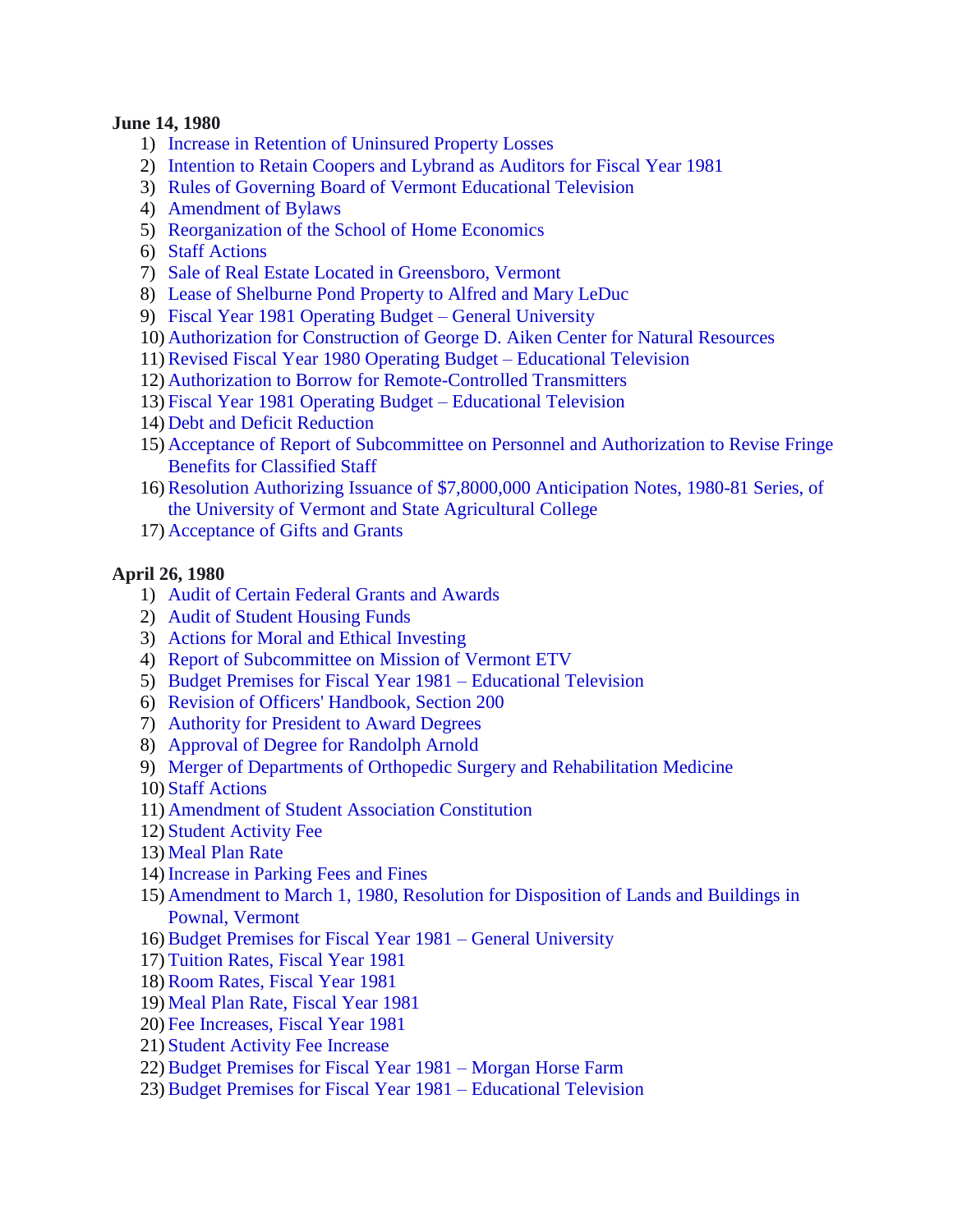#### **June 14, 1980**

- 1) [Increase in Retention of Uninsured Property Losses](#page-15-0)
- 2) [Intention to Retain Coopers and Lybrand as Auditors for Fiscal Year 1981](#page-15-0)
- 3) Rules of Governing Board of [Vermont Educational Television](#page-15-0)
- 4) [Amendment](#page-16-0) of Bylaws
- 5) [Reorganization of the School of](#page-17-0) Home Economics
- 6) [Staff Actions](#page-18-0)
- 7) Sale of [Real Estate Located in Greensboro, Vermont](#page-18-0)
- 8) [Lease of Shelburne Pond Property to Alfred and Mary LeDuc](#page-19-0)
- 9) Fiscal Year 1981 Operating Budget [General University](#page-19-0)
- 10) [Authorization for Construction of George D. Aiken Center for Natural Resources](#page-19-0)
- 11)[Revised Fiscal Year 1980](#page-20-0) Operating Budget Educational Television
- 12) [Authorization to Borrow for Remote-Controlled Transmitters](#page-20-0)
- 13) [Fiscal Year 1981 Operating Budget](#page-20-0) Educational Television
- 14) [Debt and Deficit Reduction](#page-20-0)
- 15) Acceptance of [Report of Subcommittee on Personnel and Authorization to Revise](#page-20-0) Fringe Benefits for Classified Staff
- 16)[Resolution Authorizing Issuance of \\$7,8000,000 Anticipation](#page-21-0) Notes, 1980-81 Series, of the University of Vermont and State Agricultural College
- 17) [Acceptance of Gifts and Grants](#page-21-0)

### **April 26, 1980**

- 1) [Audit of Certain Federal Grants and Awards](#page-22-0)
- 2) [Audit of Student Housing Funds](#page-22-0)
- 3) [Actions for Moral and Ethical Investing](#page-22-0)
- 4) [Report of Subcommittee on Mission of Vermont ETV](#page-23-0)
- 5) Budget [Premises for Fiscal Year 1981 –](#page-23-0) Educational Television
- 6) [Revision of Officers' Handbook, Section 200](#page-23-0)
- 7) [Authority for President to Award Degrees](#page-23-0)
- 8) [Approval of Degree for Randolph Arnold](#page-24-0)
- 9) [Merger of Departments of Orthopedic Surgery and Rehabilitation Medicine](#page-24-0)
- 10) [Staff Actions](#page-24-0)
- 11) [Amendment of Student Association Constitution](#page-24-0)
- 12) [Student Activity Fee](#page-24-0)
- 13) [Meal Plan Rate](#page-24-0)
- 14) [Increase in Parking Fees and Fines](#page-25-0)
- 15) [Amendment to March 1, 1980, Resolution for Disposition of Lands and Buildings](#page-25-0) in Pownal, Vermont
- 16)[Budget Premises for Fiscal Year 1981 –](#page-25-0) General University
- 17) [Tuition Rates, Fiscal Year 1981](#page-25-0)
- 18)[Room Rates, Fiscal Year 1981](#page-26-0)
- 19) [Meal Plan Rate, Fiscal Year 1981](#page-26-0)
- 20) [Fee Increases, Fiscal Year 1981](#page-26-0)
- 21) [Student Activity Fee Increase](#page-26-0)
- 22)[Budget Premises for Fiscal Year 1981 –](#page-26-0) Morgan Horse Farm
- 23)[Budget Premises for Fiscal Year 1981 –](#page-26-0) Educational Television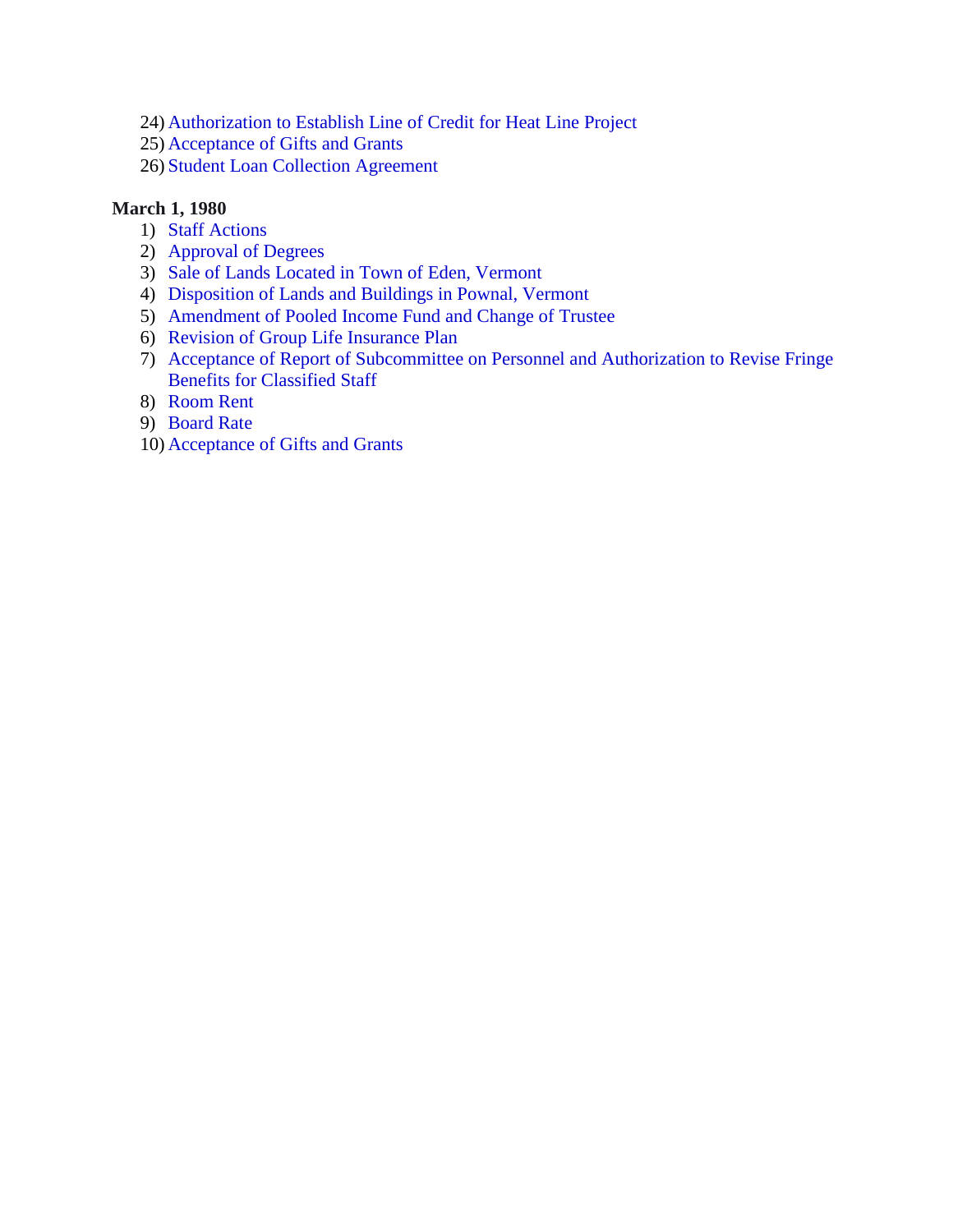- 24) [Authorization to Establish Line of Credit for Heat Line Project](#page-27-0)
- 25) [Acceptance of Gifts and Grants](#page-27-0)
- 26) [Student Loan Collection Agreement](#page-27-0)

## **March 1, 1980**

- 1) [Staff Actions](#page-29-0)
- 2) [Approval of Degrees](#page-29-0)
- 3) Sale of [Lands Located in Town of](#page-29-0) Eden, Vermont
- 4) [Disposition of Lands and Buildings in Pownal, Vermont](#page-29-0)
- 5) [Amendment of Pooled Income Fund and Change of](#page-30-0) Trustee
- 6) [Revision of Group Life Insurance Plan](#page-31-0)
- 7) [Acceptance of Report of Subcommittee on Personnel and Authorization to Revise](#page-31-0) Fringe Benefits for Classified Staff
- 8) [Room Rent](#page-31-0)
- 9) [Board Rate](#page-32-0)
- 10) [Acceptance of Gifts and Grants](#page-32-0)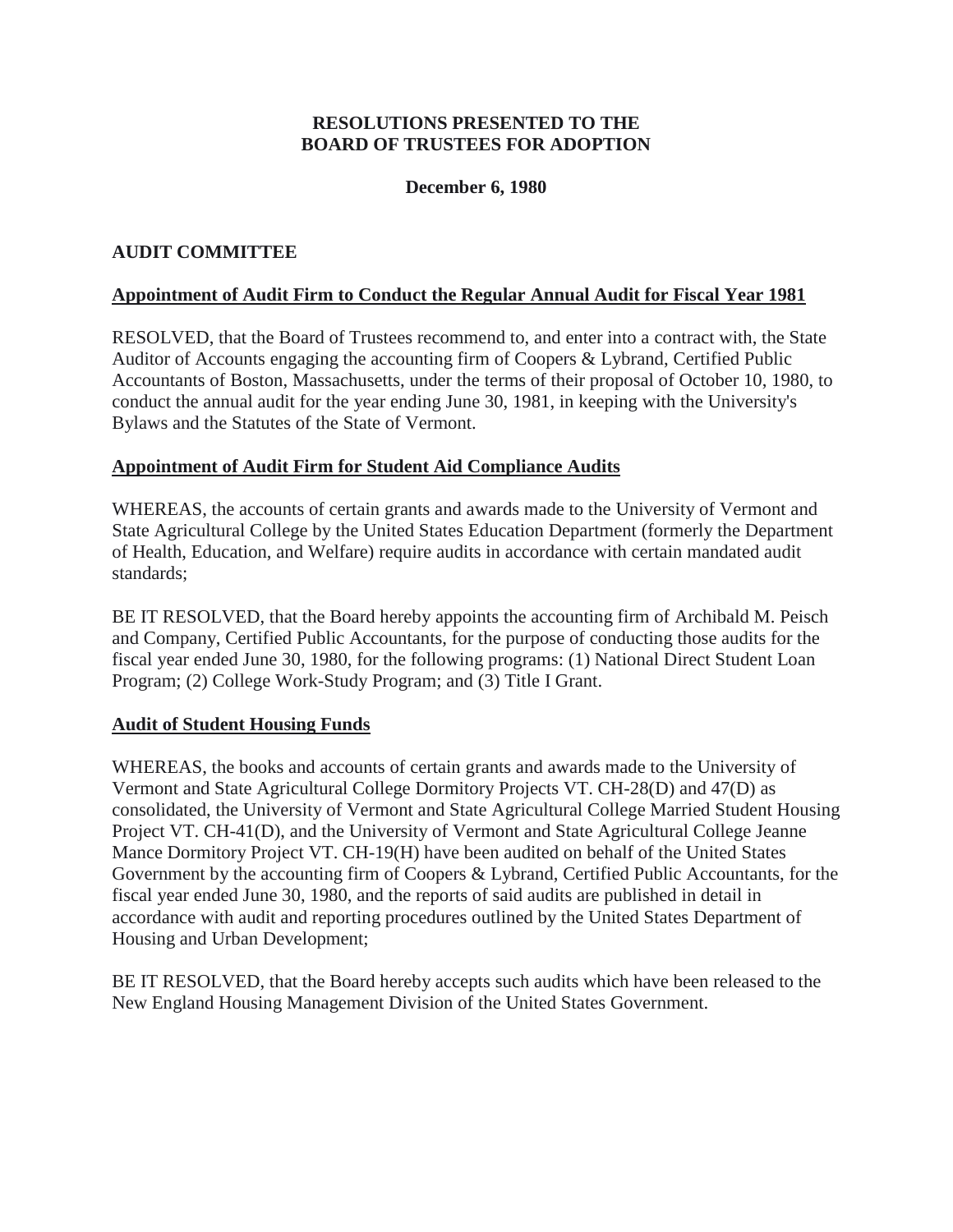# **RESOLUTIONS PRESENTED TO THE BOARD OF TRUSTEES FOR ADOPTION**

## **December 6, 1980**

### <span id="page-3-0"></span>**AUDIT COMMITTEE**

### **Appointment of Audit Firm to Conduct the Regular Annual Audit for Fiscal Year 1981**

RESOLVED, that the Board of Trustees recommend to, and enter into a contract with, the State Auditor of Accounts engaging the accounting firm of Coopers & Lybrand, Certified Public Accountants of Boston, Massachusetts, under the terms of their proposal of October 10, 1980, to conduct the annual audit for the year ending June 30, 1981, in keeping with the University's Bylaws and the Statutes of the State of Vermont.

### **Appointment of Audit Firm for Student Aid Compliance Audits**

WHEREAS, the accounts of certain grants and awards made to the University of Vermont and State Agricultural College by the United States Education Department (formerly the Department of Health, Education, and Welfare) require audits in accordance with certain mandated audit standards;

BE IT RESOLVED, that the Board hereby appoints the accounting firm of Archibald M. Peisch and Company, Certified Public Accountants, for the purpose of conducting those audits for the fiscal year ended June 30, 1980, for the following programs: (1) National Direct Student Loan Program; (2) College Work-Study Program; and (3) Title I Grant.

### **Audit of Student Housing Funds**

WHEREAS, the books and accounts of certain grants and awards made to the University of Vermont and State Agricultural College Dormitory Projects VT. CH-28(D) and 47(D) as consolidated, the University of Vermont and State Agricultural College Married Student Housing Project VT. CH-41(D), and the University of Vermont and State Agricultural College Jeanne Mance Dormitory Project VT. CH-19(H) have been audited on behalf of the United States Government by the accounting firm of Coopers & Lybrand, Certified Public Accountants, for the fiscal year ended June 30, 1980, and the reports of said audits are published in detail in accordance with audit and reporting procedures outlined by the United States Department of Housing and Urban Development;

BE IT RESOLVED, that the Board hereby accepts such audits which have been released to the New England Housing Management Division of the United States Government.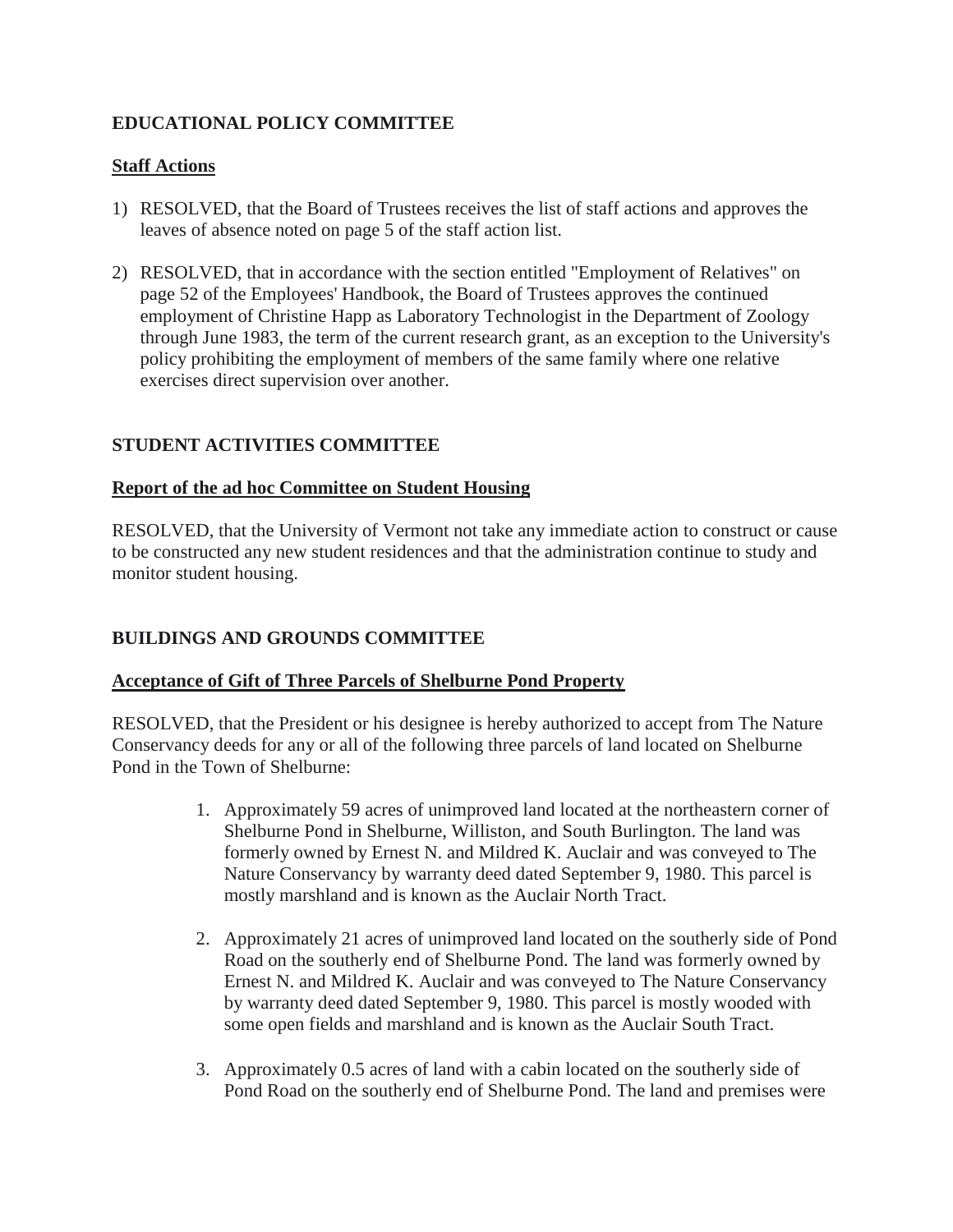# <span id="page-4-0"></span>**EDUCATIONAL POLICY COMMITTEE**

# **Staff Actions**

- 1) RESOLVED, that the Board of Trustees receives the list of staff actions and approves the leaves of absence noted on page 5 of the staff action list.
- 2) RESOLVED, that in accordance with the section entitled "Employment of Relatives" on page 52 of the Employees' Handbook, the Board of Trustees approves the continued employment of Christine Happ as Laboratory Technologist in the Department of Zoology through June 1983, the term of the current research grant, as an exception to the University's policy prohibiting the employment of members of the same family where one relative exercises direct supervision over another.

# **STUDENT ACTIVITIES COMMITTEE**

### **Report of the ad hoc Committee on Student Housing**

RESOLVED, that the University of Vermont not take any immediate action to construct or cause to be constructed any new student residences and that the administration continue to study and monitor student housing.

# **BUILDINGS AND GROUNDS COMMITTEE**

# **Acceptance of Gift of Three Parcels of Shelburne Pond Property**

RESOLVED, that the President or his designee is hereby authorized to accept from The Nature Conservancy deeds for any or all of the following three parcels of land located on Shelburne Pond in the Town of Shelburne:

- 1. Approximately 59 acres of unimproved land located at the northeastern corner of Shelburne Pond in Shelburne, Williston, and South Burlington. The land was formerly owned by Ernest N. and Mildred K. Auclair and was conveyed to The Nature Conservancy by warranty deed dated September 9, 1980. This parcel is mostly marshland and is known as the Auclair North Tract.
- 2. Approximately 21 acres of unimproved land located on the southerly side of Pond Road on the southerly end of Shelburne Pond. The land was formerly owned by Ernest N. and Mildred K. Auclair and was conveyed to The Nature Conservancy by warranty deed dated September 9, 1980. This parcel is mostly wooded with some open fields and marshland and is known as the Auclair South Tract.
- 3. Approximately 0.5 acres of land with a cabin located on the southerly side of Pond Road on the southerly end of Shelburne Pond. The land and premises were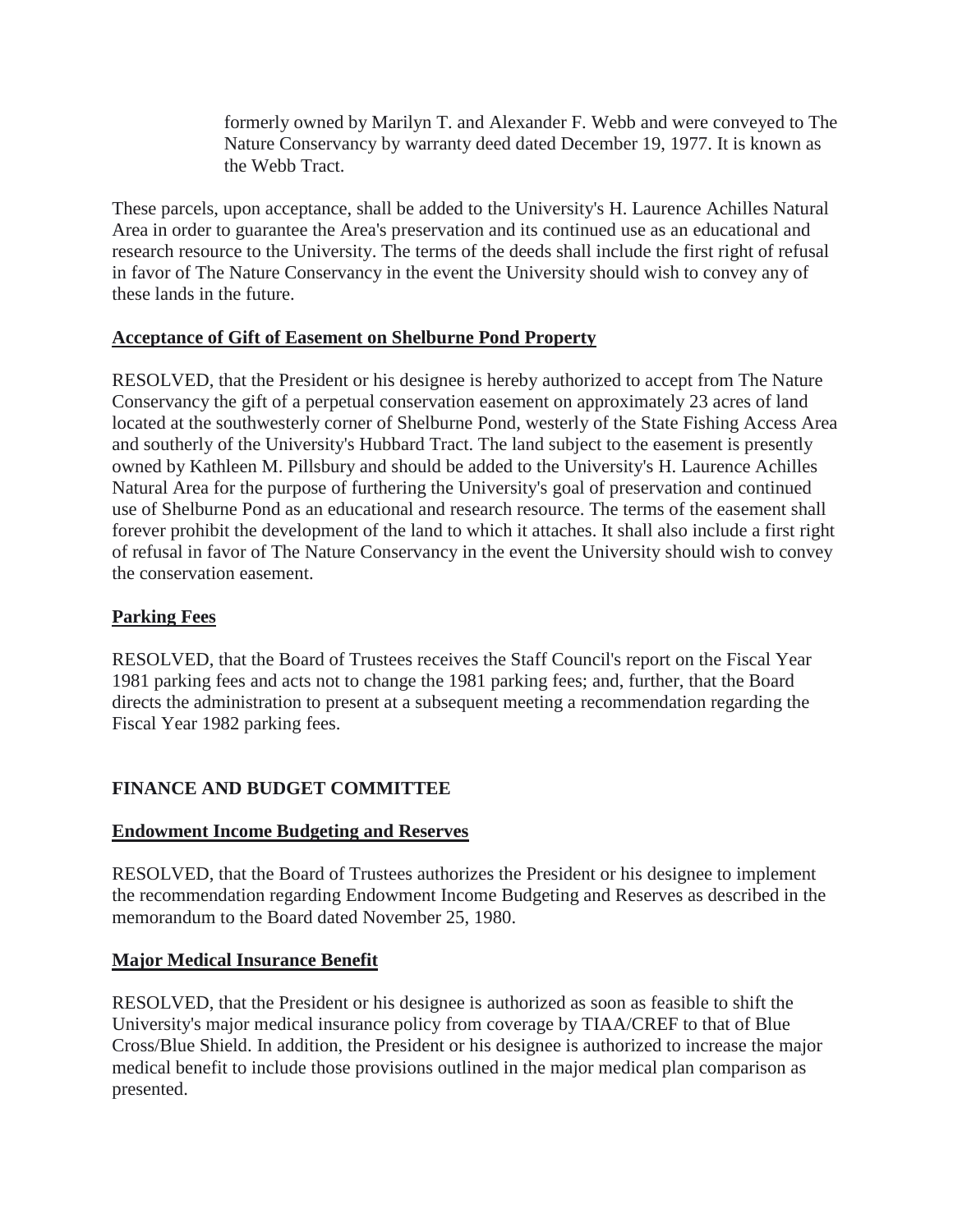formerly owned by Marilyn T. and Alexander F. Webb and were conveyed to The Nature Conservancy by warranty deed dated December 19, 1977. It is known as the Webb Tract.

<span id="page-5-0"></span>These parcels, upon acceptance, shall be added to the University's H. Laurence Achilles Natural Area in order to guarantee the Area's preservation and its continued use as an educational and research resource to the University. The terms of the deeds shall include the first right of refusal in favor of The Nature Conservancy in the event the University should wish to convey any of these lands in the future.

# **Acceptance of Gift of Easement on Shelburne Pond Property**

RESOLVED, that the President or his designee is hereby authorized to accept from The Nature Conservancy the gift of a perpetual conservation easement on approximately 23 acres of land located at the southwesterly corner of Shelburne Pond, westerly of the State Fishing Access Area and southerly of the University's Hubbard Tract. The land subject to the easement is presently owned by Kathleen M. Pillsbury and should be added to the University's H. Laurence Achilles Natural Area for the purpose of furthering the University's goal of preservation and continued use of Shelburne Pond as an educational and research resource. The terms of the easement shall forever prohibit the development of the land to which it attaches. It shall also include a first right of refusal in favor of The Nature Conservancy in the event the University should wish to convey the conservation easement.

# **Parking Fees**

RESOLVED, that the Board of Trustees receives the Staff Council's report on the Fiscal Year 1981 parking fees and acts not to change the 1981 parking fees; and, further, that the Board directs the administration to present at a subsequent meeting a recommendation regarding the Fiscal Year 1982 parking fees.

# **FINANCE AND BUDGET COMMITTEE**

# **Endowment Income Budgeting and Reserves**

RESOLVED, that the Board of Trustees authorizes the President or his designee to implement the recommendation regarding Endowment Income Budgeting and Reserves as described in the memorandum to the Board dated November 25, 1980.

# **Major Medical Insurance Benefit**

RESOLVED, that the President or his designee is authorized as soon as feasible to shift the University's major medical insurance policy from coverage by TIAA/CREF to that of Blue Cross/Blue Shield. In addition, the President or his designee is authorized to increase the major medical benefit to include those provisions outlined in the major medical plan comparison as presented.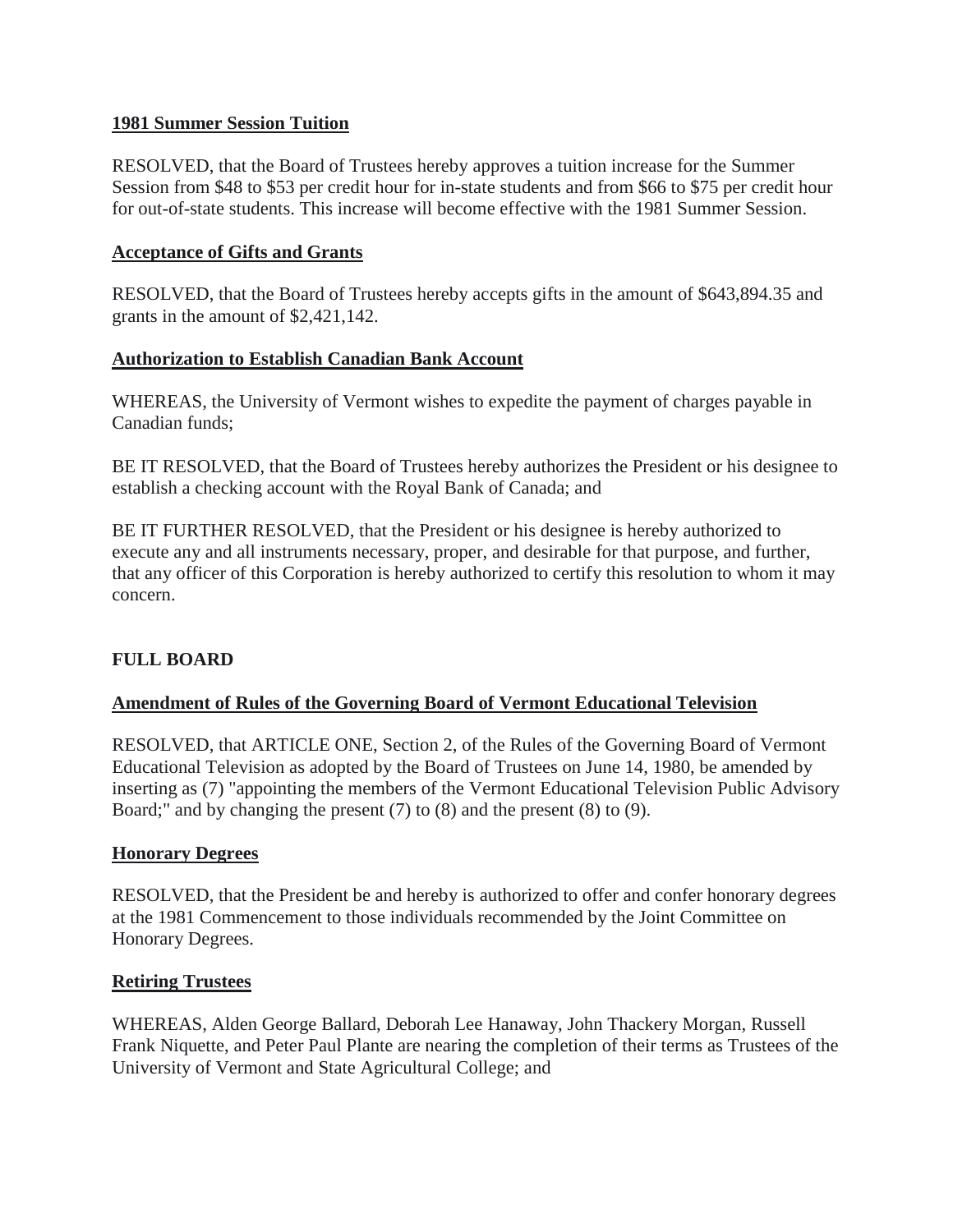### <span id="page-6-0"></span>**1981 Summer Session Tuition**

RESOLVED, that the Board of Trustees hereby approves a tuition increase for the Summer Session from \$48 to \$53 per credit hour for in-state students and from \$66 to \$75 per credit hour for out-of-state students. This increase will become effective with the 1981 Summer Session.

### **Acceptance of Gifts and Grants**

RESOLVED, that the Board of Trustees hereby accepts gifts in the amount of \$643,894.35 and grants in the amount of \$2,421,142.

### **Authorization to Establish Canadian Bank Account**

WHEREAS, the University of Vermont wishes to expedite the payment of charges payable in Canadian funds;

BE IT RESOLVED, that the Board of Trustees hereby authorizes the President or his designee to establish a checking account with the Royal Bank of Canada; and

BE IT FURTHER RESOLVED, that the President or his designee is hereby authorized to execute any and all instruments necessary, proper, and desirable for that purpose, and further, that any officer of this Corporation is hereby authorized to certify this resolution to whom it may concern.

# **FULL BOARD**

### **Amendment of Rules of the Governing Board of Vermont Educational Television**

RESOLVED, that ARTICLE ONE, Section 2, of the Rules of the Governing Board of Vermont Educational Television as adopted by the Board of Trustees on June 14, 1980, be amended by inserting as (7) "appointing the members of the Vermont Educational Television Public Advisory Board;" and by changing the present (7) to (8) and the present (8) to (9).

### **Honorary Degrees**

RESOLVED, that the President be and hereby is authorized to offer and confer honorary degrees at the 1981 Commencement to those individuals recommended by the Joint Committee on Honorary Degrees.

### **Retiring Trustees**

WHEREAS, Alden George Ballard, Deborah Lee Hanaway, John Thackery Morgan, Russell Frank Niquette, and Peter Paul Plante are nearing the completion of their terms as Trustees of the University of Vermont and State Agricultural College; and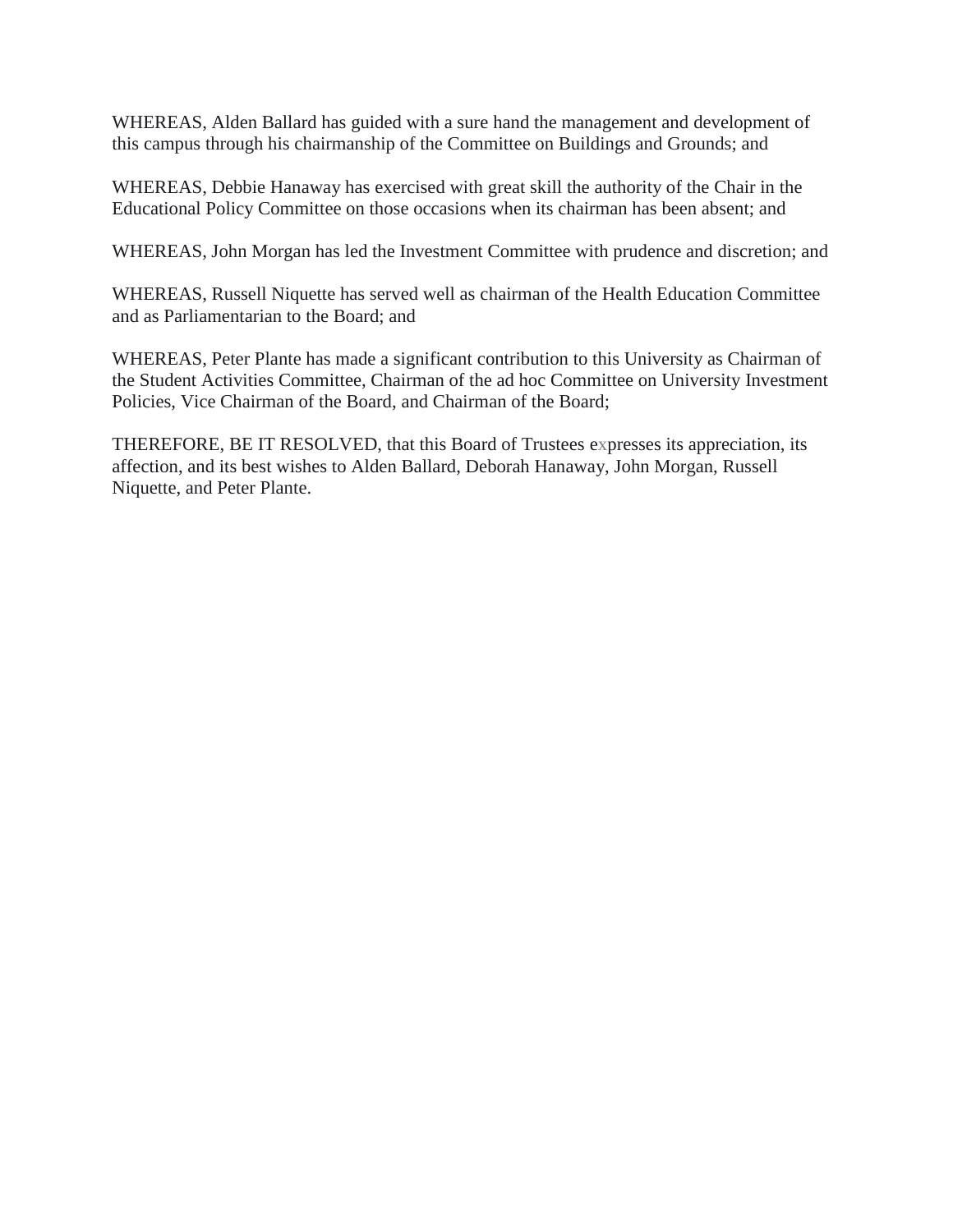WHEREAS, Alden Ballard has guided with a sure hand the management and development of this campus through his chairmanship of the Committee on Buildings and Grounds; and

WHEREAS, Debbie Hanaway has exercised with great skill the authority of the Chair in the Educational Policy Committee on those occasions when its chairman has been absent; and

WHEREAS, John Morgan has led the Investment Committee with prudence and discretion; and

WHEREAS, Russell Niquette has served well as chairman of the Health Education Committee and as Parliamentarian to the Board; and

WHEREAS, Peter Plante has made a significant contribution to this University as Chairman of the Student Activities Committee, Chairman of the ad hoc Committee on University Investment Policies, Vice Chairman of the Board, and Chairman of the Board;

THEREFORE, BE IT RESOLVED, that this Board of Trustees expresses its appreciation, its affection, and its best wishes to Alden Ballard, Deborah Hanaway, John Morgan, Russell Niquette, and Peter Plante.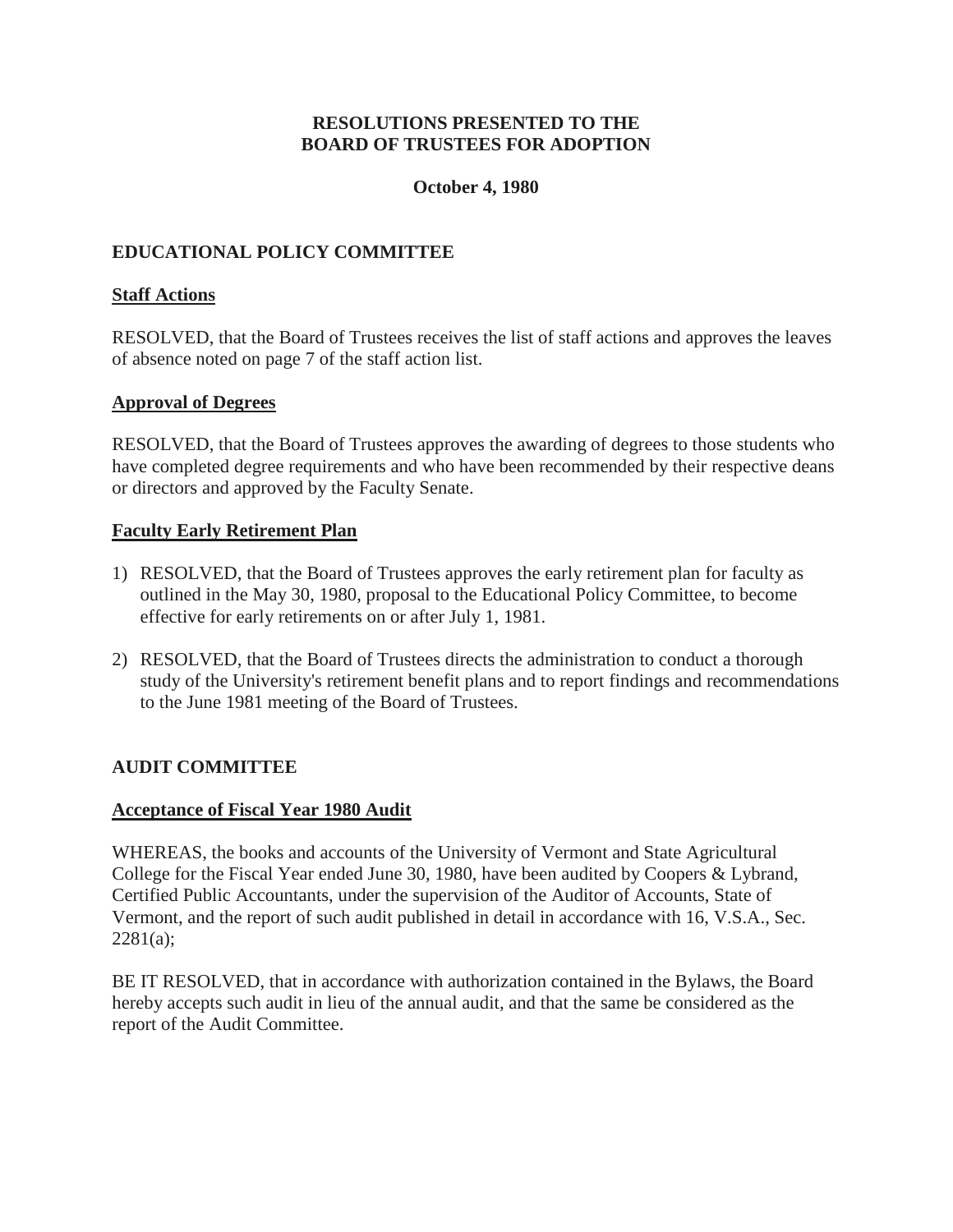## **RESOLUTIONS PRESENTED TO THE BOARD OF TRUSTEES FOR ADOPTION**

### **October 4, 1980**

# <span id="page-8-0"></span>**EDUCATIONAL POLICY COMMITTEE**

## **Staff Actions**

RESOLVED, that the Board of Trustees receives the list of staff actions and approves the leaves of absence noted on page 7 of the staff action list.

### **Approval of Degrees**

RESOLVED, that the Board of Trustees approves the awarding of degrees to those students who have completed degree requirements and who have been recommended by their respective deans or directors and approved by the Faculty Senate.

### **Faculty Early Retirement Plan**

- 1) RESOLVED, that the Board of Trustees approves the early retirement plan for faculty as outlined in the May 30, 1980, proposal to the Educational Policy Committee, to become effective for early retirements on or after July 1, 1981.
- 2) RESOLVED, that the Board of Trustees directs the administration to conduct a thorough study of the University's retirement benefit plans and to report findings and recommendations to the June 1981 meeting of the Board of Trustees.

# **AUDIT COMMITTEE**

### **Acceptance of Fiscal Year 1980 Audit**

WHEREAS, the books and accounts of the University of Vermont and State Agricultural College for the Fiscal Year ended June 30, 1980, have been audited by Coopers & Lybrand, Certified Public Accountants, under the supervision of the Auditor of Accounts, State of Vermont, and the report of such audit published in detail in accordance with 16, V.S.A., Sec. 2281(a);

BE IT RESOLVED, that in accordance with authorization contained in the Bylaws, the Board hereby accepts such audit in lieu of the annual audit, and that the same be considered as the report of the Audit Committee.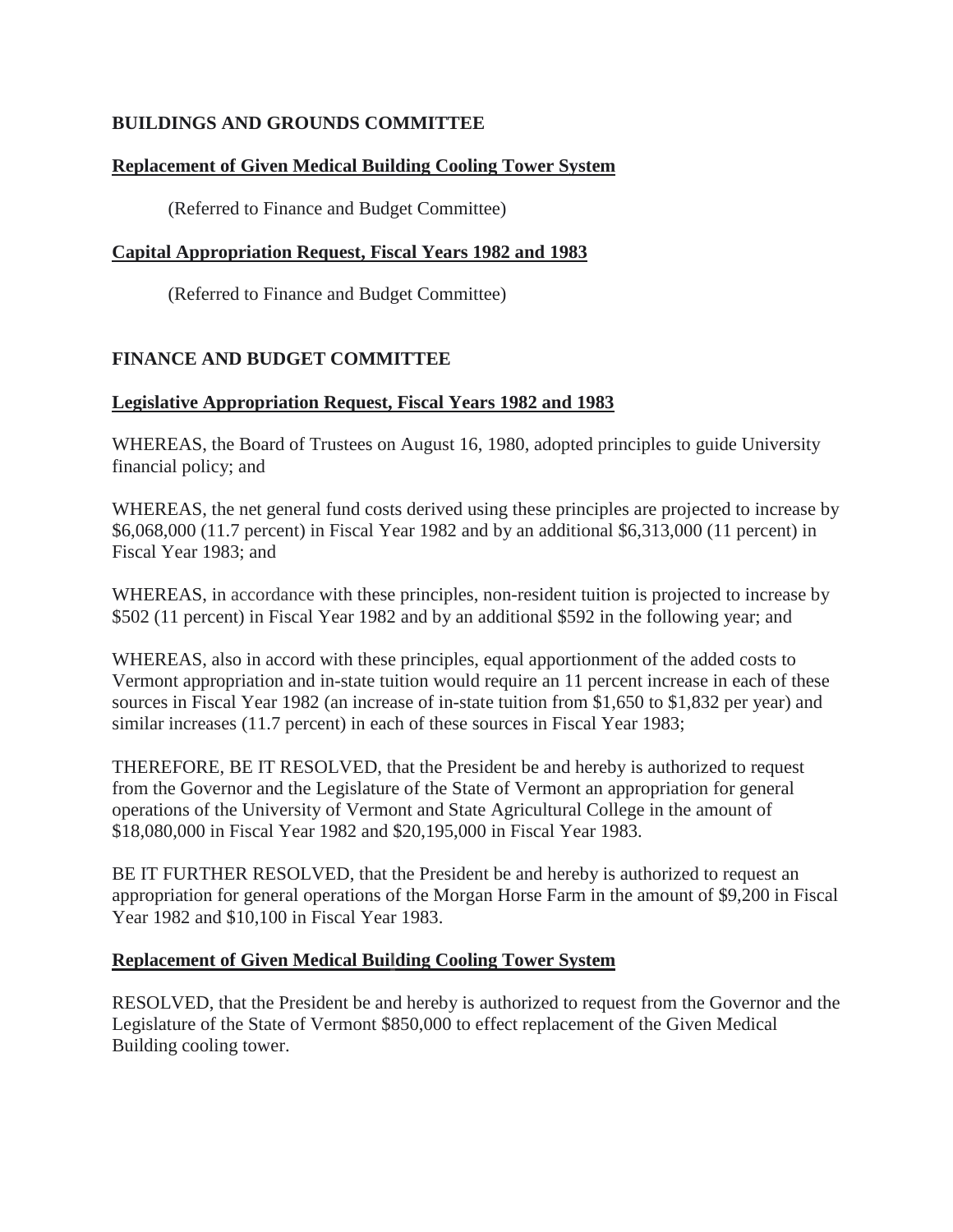# <span id="page-9-0"></span>**BUILDINGS AND GROUNDS COMMITTEE**

# **Replacement of Given Medical Building Cooling Tower System**

(Referred to Finance and Budget Committee)

# **Capital Appropriation Request, Fiscal Years 1982 and 1983**

(Referred to Finance and Budget Committee)

# **FINANCE AND BUDGET COMMITTEE**

# **Legislative Appropriation Request, Fiscal Years 1982 and 1983**

WHEREAS, the Board of Trustees on August 16, 1980, adopted principles to guide University financial policy; and

WHEREAS, the net general fund costs derived using these principles are projected to increase by \$6,068,000 (11.7 percent) in Fiscal Year 1982 and by an additional \$6,313,000 (11 percent) in Fiscal Year 1983; and

WHEREAS, in accordance with these principles, non-resident tuition is projected to increase by \$502 (11 percent) in Fiscal Year 1982 and by an additional \$592 in the following year; and

WHEREAS, also in accord with these principles, equal apportionment of the added costs to Vermont appropriation and in-state tuition would require an 11 percent increase in each of these sources in Fiscal Year 1982 (an increase of in-state tuition from \$1,650 to \$1,832 per year) and similar increases (11.7 percent) in each of these sources in Fiscal Year 1983;

THEREFORE, BE IT RESOLVED, that the President be and hereby is authorized to request from the Governor and the Legislature of the State of Vermont an appropriation for general operations of the University of Vermont and State Agricultural College in the amount of \$18,080,000 in Fiscal Year 1982 and \$20,195,000 in Fiscal Year 1983.

BE IT FURTHER RESOLVED, that the President be and hereby is authorized to request an appropriation for general operations of the Morgan Horse Farm in the amount of \$9,200 in Fiscal Year 1982 and \$10,100 in Fiscal Year 1983.

# **Replacement of Given Medical Building Cooling Tower System**

RESOLVED, that the President be and hereby is authorized to request from the Governor and the Legislature of the State of Vermont \$850,000 to effect replacement of the Given Medical Building cooling tower.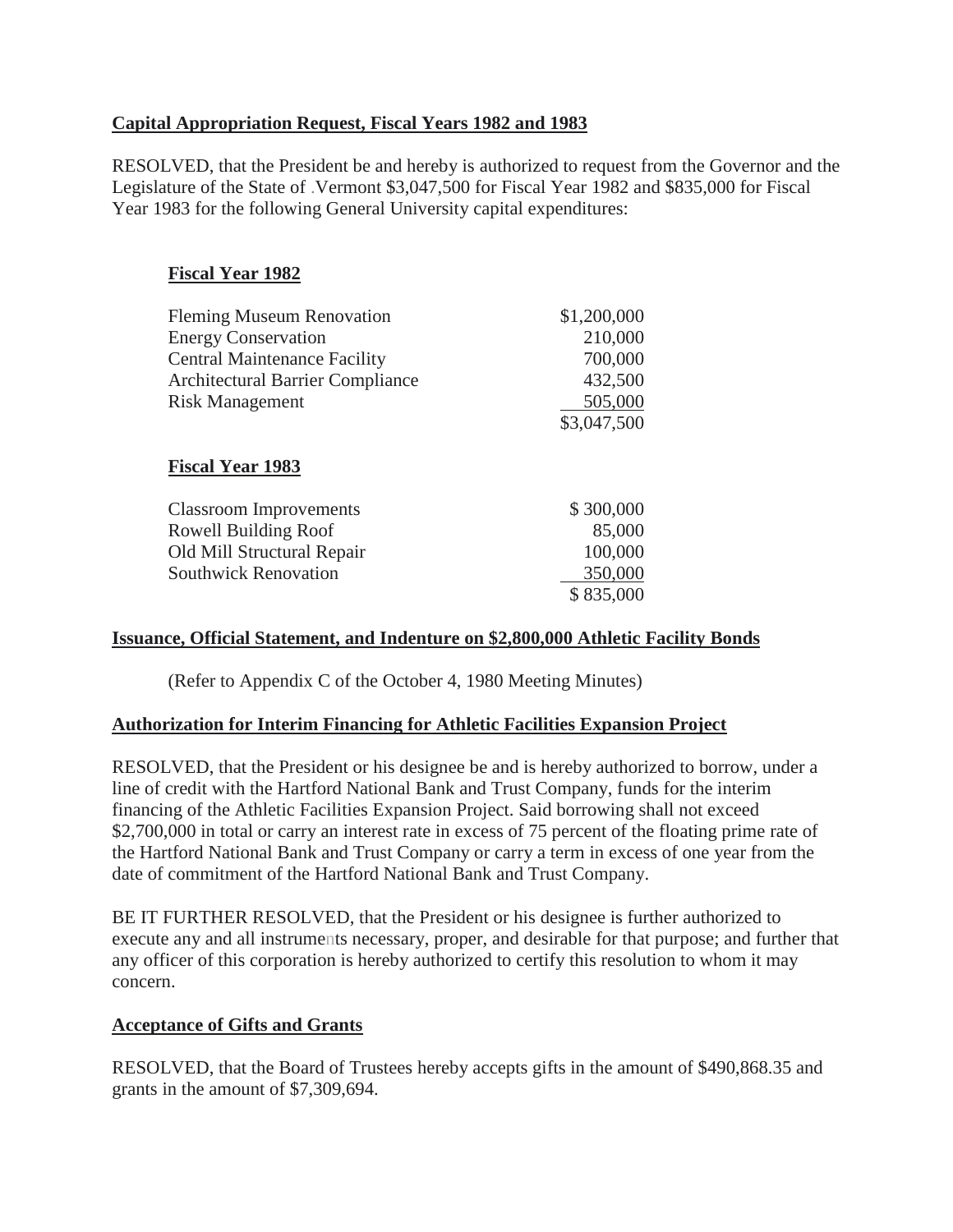# <span id="page-10-0"></span>**Capital Appropriation Request, Fiscal Years 1982 and 1983**

RESOLVED, that the President be and hereby is authorized to request from the Governor and the Legislature of the State of .Vermont \$3,047,500 for Fiscal Year 1982 and \$835,000 for Fiscal Year 1983 for the following General University capital expenditures:

# **Fiscal Year 1982**

| <b>Fleming Museum Renovation</b>        | \$1,200,000 |
|-----------------------------------------|-------------|
| <b>Energy Conservation</b>              | 210,000     |
| <b>Central Maintenance Facility</b>     | 700,000     |
| <b>Architectural Barrier Compliance</b> | 432,500     |
| <b>Risk Management</b>                  | 505,000     |
|                                         | \$3,047,500 |
| <b>Fiscal Year 1983</b>                 |             |
| <b>Classroom Improvements</b>           | \$300,000   |
| Rowell Building Roof                    | 85,000      |
| Old Mill Structural Repair              | 100,000     |
| <b>Southwick Renovation</b>             | 350,000     |
|                                         | \$835,000   |

# **Issuance, Official Statement, and Indenture on \$2,800,000 Athletic Facility Bonds**

(Refer to Appendix C of the October 4, 1980 Meeting Minutes)

# **Authorization for Interim Financing for Athletic Facilities Expansion Project**

RESOLVED, that the President or his designee be and is hereby authorized to borrow, under a line of credit with the Hartford National Bank and Trust Company, funds for the interim financing of the Athletic Facilities Expansion Project. Said borrowing shall not exceed \$2,700,000 in total or carry an interest rate in excess of 75 percent of the floating prime rate of the Hartford National Bank and Trust Company or carry a term in excess of one year from the date of commitment of the Hartford National Bank and Trust Company.

BE IT FURTHER RESOLVED, that the President or his designee is further authorized to execute any and all instruments necessary, proper, and desirable for that purpose; and further that any officer of this corporation is hereby authorized to certify this resolution to whom it may concern.

### **Acceptance of Gifts and Grants**

RESOLVED, that the Board of Trustees hereby accepts gifts in the amount of \$490,868.35 and grants in the amount of \$7,309,694.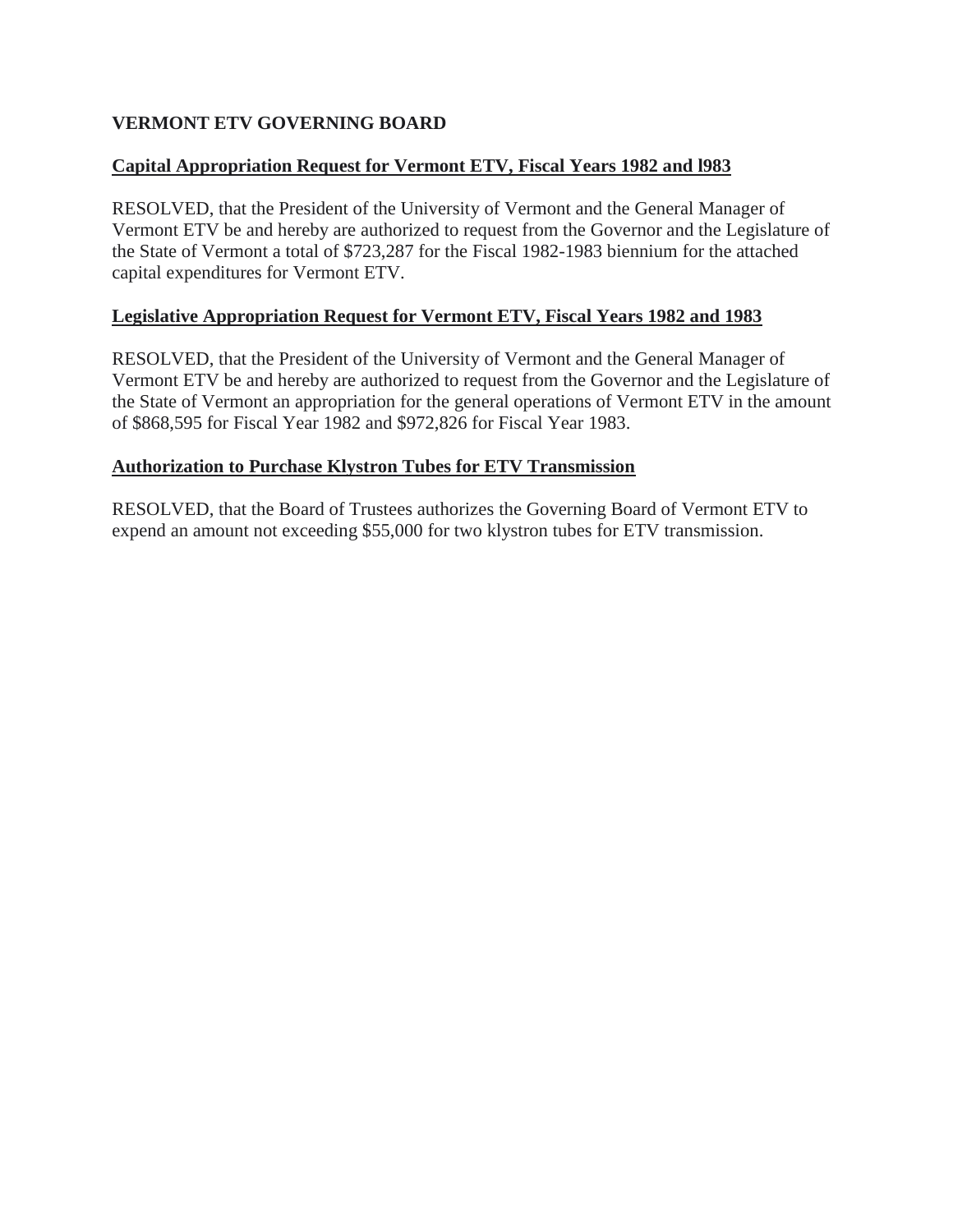# <span id="page-11-0"></span>**VERMONT ETV GOVERNING BOARD**

# **Capital Appropriation Request for Vermont ETV, Fiscal Years 1982 and l983**

RESOLVED, that the President of the University of Vermont and the General Manager of Vermont ETV be and hereby are authorized to request from the Governor and the Legislature of the State of Vermont a total of \$723,287 for the Fiscal 1982-1983 biennium for the attached capital expenditures for Vermont ETV.

# **Legislative Appropriation Request for Vermont ETV, Fiscal Years 1982 and 1983**

RESOLVED, that the President of the University of Vermont and the General Manager of Vermont ETV be and hereby are authorized to request from the Governor and the Legislature of the State of Vermont an appropriation for the general operations of Vermont ETV in the amount of \$868,595 for Fiscal Year 1982 and \$972,826 for Fiscal Year 1983.

# **Authorization to Purchase Klystron Tubes for ETV Transmission**

RESOLVED, that the Board of Trustees authorizes the Governing Board of Vermont ETV to expend an amount not exceeding \$55,000 for two klystron tubes for ETV transmission.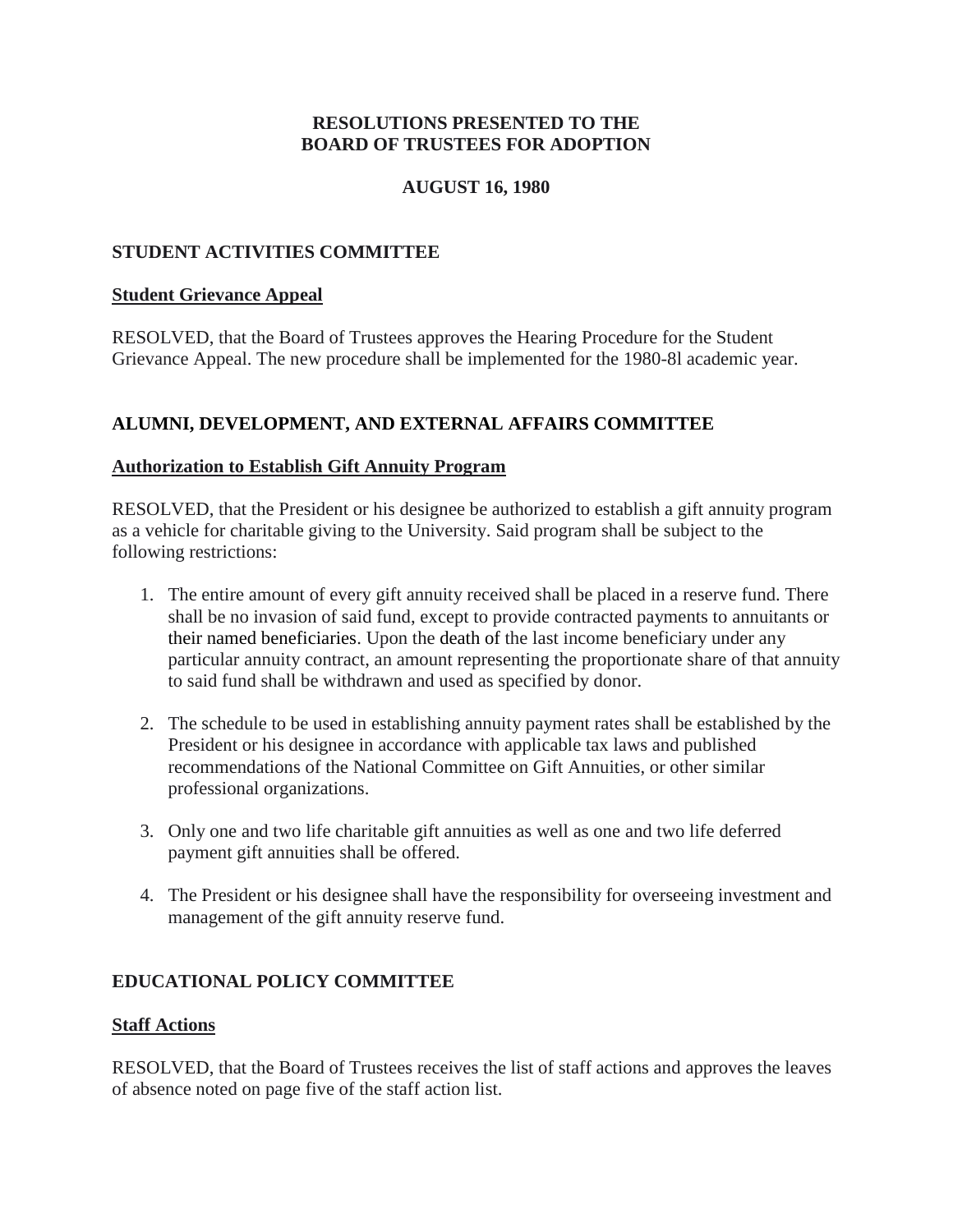# **RESOLUTIONS PRESENTED TO THE BOARD OF TRUSTEES FOR ADOPTION**

# **AUGUST 16, 1980**

## <span id="page-12-0"></span>**STUDENT ACTIVITIES COMMITTEE**

#### **Student Grievance Appeal**

RESOLVED, that the Board of Trustees approves the Hearing Procedure for the Student Grievance Appeal. The new procedure shall be implemented for the 1980-8l academic year.

### **ALUMNI, DEVELOPMENT, AND EXTERNAL AFFAIRS COMMITTEE**

### **Authorization to Establish Gift Annuity Program**

RESOLVED, that the President or his designee be authorized to establish a gift annuity program as a vehicle for charitable giving to the University. Said program shall be subject to the following restrictions:

- 1. The entire amount of every gift annuity received shall be placed in a reserve fund. There shall be no invasion of said fund, except to provide contracted payments to annuitants or their named beneficiaries. Upon the death of the last income beneficiary under any particular annuity contract, an amount representing the proportionate share of that annuity to said fund shall be withdrawn and used as specified by donor.
- 2. The schedule to be used in establishing annuity payment rates shall be established by the President or his designee in accordance with applicable tax laws and published recommendations of the National Committee on Gift Annuities, or other similar professional organizations.
- 3. Only one and two life charitable gift annuities as well as one and two life deferred payment gift annuities shall be offered.
- 4. The President or his designee shall have the responsibility for overseeing investment and management of the gift annuity reserve fund.

### **EDUCATIONAL POLICY COMMITTEE**

#### **Staff Actions**

RESOLVED, that the Board of Trustees receives the list of staff actions and approves the leaves of absence noted on page five of the staff action list.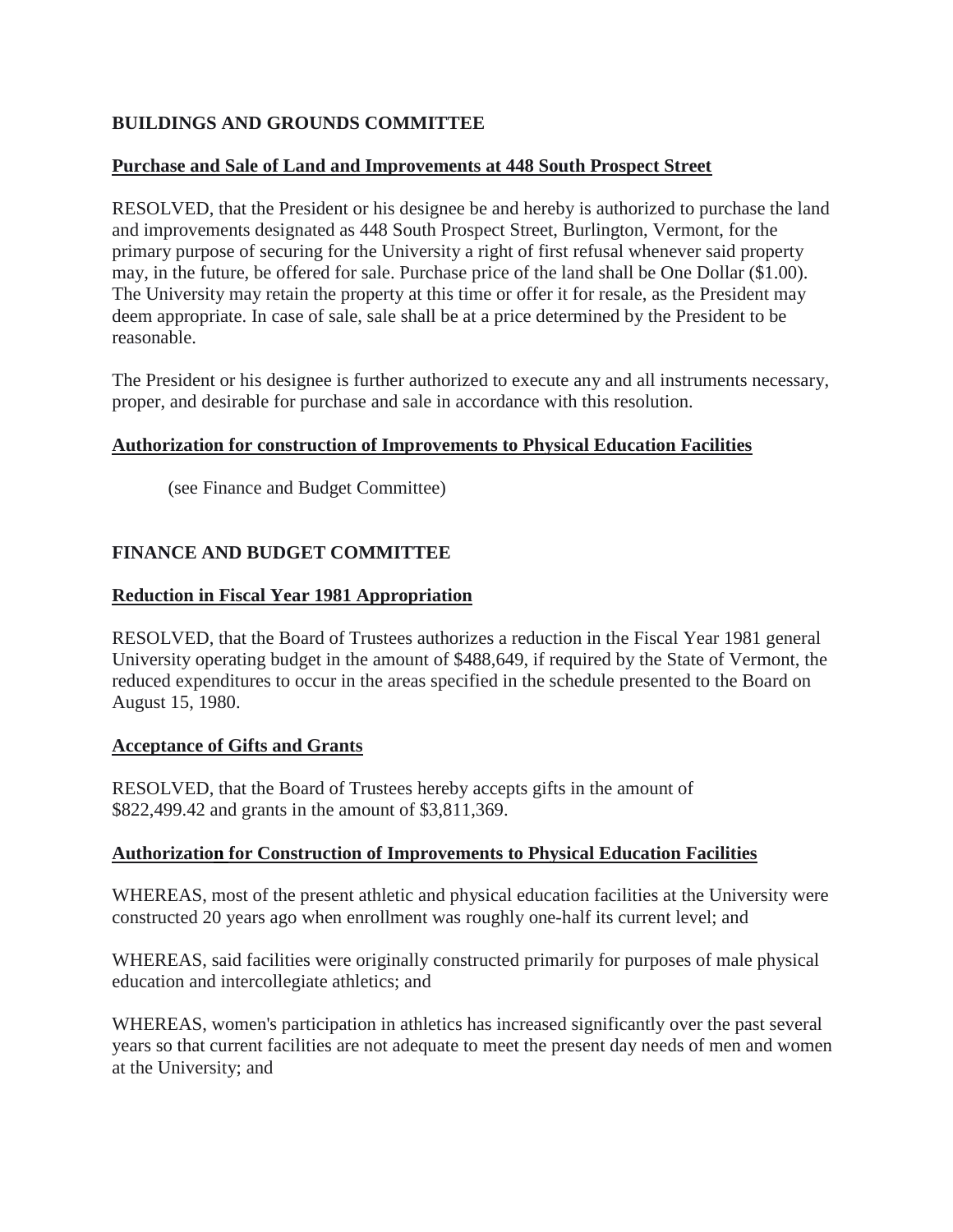# <span id="page-13-0"></span>**BUILDINGS AND GROUNDS COMMITTEE**

### **Purchase and Sale of Land and Improvements at 448 South Prospect Street**

RESOLVED, that the President or his designee be and hereby is authorized to purchase the land and improvements designated as 448 South Prospect Street, Burlington, Vermont, for the primary purpose of securing for the University a right of first refusal whenever said property may, in the future, be offered for sale. Purchase price of the land shall be One Dollar (\$1.00). The University may retain the property at this time or offer it for resale, as the President may deem appropriate. In case of sale, sale shall be at a price determined by the President to be reasonable.

The President or his designee is further authorized to execute any and all instruments necessary, proper, and desirable for purchase and sale in accordance with this resolution.

### **Authorization for construction of Improvements to Physical Education Facilities**

(see Finance and Budget Committee)

# **FINANCE AND BUDGET COMMITTEE**

### **Reduction in Fiscal Year 1981 Appropriation**

RESOLVED, that the Board of Trustees authorizes a reduction in the Fiscal Year 1981 general University operating budget in the amount of \$488,649, if required by the State of Vermont, the reduced expenditures to occur in the areas specified in the schedule presented to the Board on August 15, 1980.

### **Acceptance of Gifts and Grants**

RESOLVED, that the Board of Trustees hereby accepts gifts in the amount of \$822,499.42 and grants in the amount of \$3,811,369.

# **Authorization for Construction of Improvements to Physical Education Facilities**

WHEREAS, most of the present athletic and physical education facilities at the University were constructed 20 years ago when enrollment was roughly one-half its current level; and

WHEREAS, said facilities were originally constructed primarily for purposes of male physical education and intercollegiate athletics; and

WHEREAS, women's participation in athletics has increased significantly over the past several years so that current facilities are not adequate to meet the present day needs of men and women at the University; and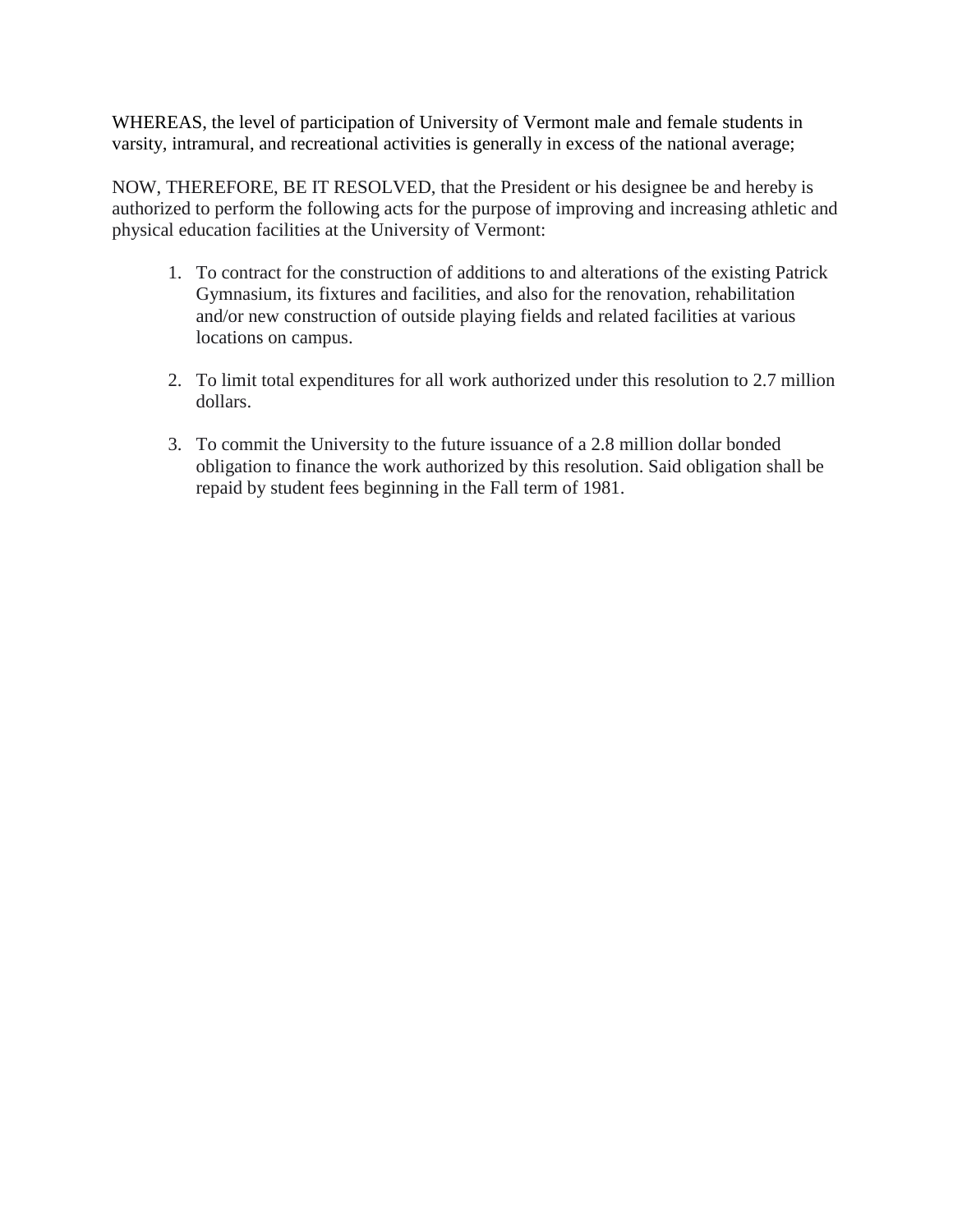WHEREAS, the level of participation of University of Vermont male and female students in varsity*,* intramural, and recreational activities is generally in excess of the national average;

NOW, THEREFORE, BE IT RESOLVED, that the President or his designee be and hereby is authorized to perform the following acts for the purpose of improving and increasing athletic and physical education facilities at the University of Vermont:

- 1. To contract for the construction of additions to and alterations of the existing Patrick Gymnasium, its fixtures and facilities, and also for the renovation, rehabilitation and/or new construction of outside playing fields and related facilities at various locations on campus.
- 2. To limit total expenditures for all work authorized under this resolution to 2.7 million dollars.
- 3. To commit the University to the future issuance of a 2.8 million dollar bonded obligation to finance the work authorized by this resolution. Said obligation shall be repaid by student fees beginning in the Fall term of 1981.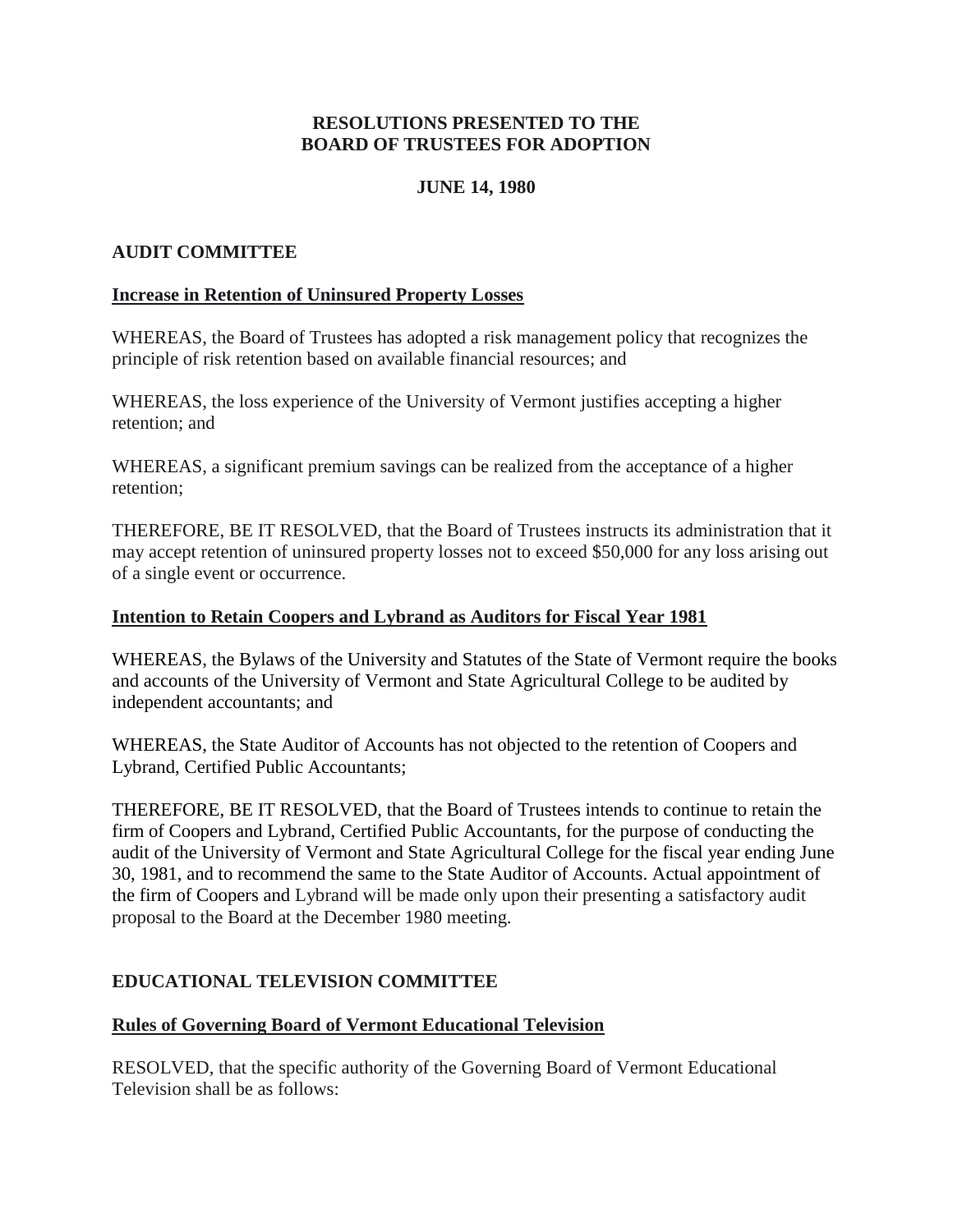# **RESOLUTIONS PRESENTED TO THE BOARD OF TRUSTEES FOR ADOPTION**

# **JUNE 14, 1980**

# <span id="page-15-0"></span>**AUDIT COMMITTEE**

### **Increase in Retention of Uninsured Property Losses**

WHEREAS, the Board of Trustees has adopted a risk management policy that recognizes the principle of risk retention based on available financial resources; and

WHEREAS, the loss experience of the University of Vermont justifies accepting a higher retention; and

WHEREAS, a significant premium savings can be realized from the acceptance of a higher retention;

THEREFORE, BE IT RESOLVED, that the Board of Trustees instructs its administration that it may accept retention of uninsured property losses not to exceed \$50,000 for any loss arising out of a single event or occurrence.

### **Intention to Retain Coopers and Lybrand as Auditors for Fiscal Year 1981**

WHEREAS, the Bylaws of the University and Statutes of the State of Vermont require the books and accounts of the University of Vermont and State Agricultural College to be audited by independent accountants; and

WHEREAS, the State Auditor of Accounts has not objected to the retention of Coopers and Lybrand, Certified Public Accountants;

THEREFORE, BE IT RESOLVED, that the Board of Trustees intends to continue to retain the firm of Coopers and Lybrand, Certified Public Accountants, for the purpose of conducting the audit of the University of Vermont and State Agricultural College for the fiscal year ending June 30, 1981, and to recommend the same to the State Auditor of Accounts. Actual appointment of the firm of Coopers and Lybrand will be made only upon their presenting a satisfactory audit proposal to the Board at the December 1980 meeting.

# **EDUCATIONAL TELEVISION COMMITTEE**

### **Rules of Governing Board of Vermont Educational Television**

RESOLVED, that the specific authority of the Governing Board of Vermont Educational Television shall be as follows: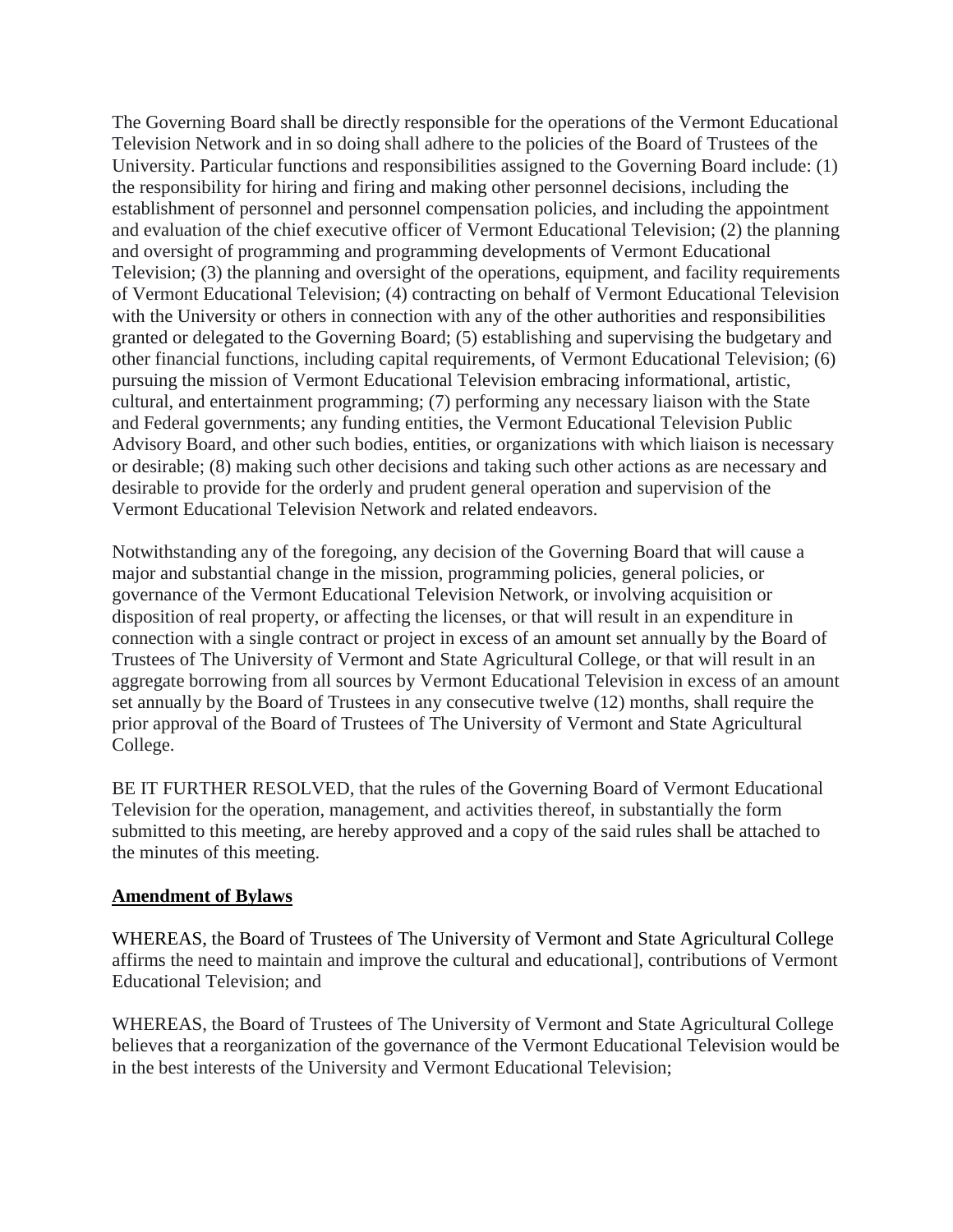<span id="page-16-0"></span>The Governing Board shall be directly responsible for the operations of the Vermont Educational Television Network and in so doing shall adhere to the policies of the Board of Trustees of the University. Particular functions and responsibilities assigned to the Governing Board include: (1) the responsibility for hiring and firing and making other personnel decisions, including the establishment of personnel and personnel compensation policies, and including the appointment and evaluation of the chief executive officer of Vermont Educational Television; (2) the planning and oversight of programming and programming developments of Vermont Educational Television; (3) the planning and oversight of the operations, equipment, and facility requirements of Vermont Educational Television; (4) contracting on behalf of Vermont Educational Television with the University or others in connection with any of the other authorities and responsibilities granted or delegated to the Governing Board; (5) establishing and supervising the budgetary and other financial functions, including capital requirements, of Vermont Educational Television; (6) pursuing the mission of Vermont Educational Television embracing informational, artistic, cultural, and entertainment programming; (7) performing any necessary liaison with the State and Federal governments; any funding entities, the Vermont Educational Television Public Advisory Board, and other such bodies, entities, or organizations with which liaison is necessary or desirable; (8) making such other decisions and taking such other actions as are necessary and desirable to provide for the orderly and prudent general operation and supervision of the Vermont Educational Television Network and related endeavors.

Notwithstanding any of the foregoing, any decision of the Governing Board that will cause a major and substantial change in the mission, programming policies, general policies, or governance of the Vermont Educational Television Network, or involving acquisition or disposition of real property, or affecting the licenses, or that will result in an expenditure in connection with a single contract or project in excess of an amount set annually by the Board of Trustees of The University of Vermont and State Agricultural College, or that will result in an aggregate borrowing from all sources by Vermont Educational Television in excess of an amount set annually by the Board of Trustees in any consecutive twelve (12) months, shall require the prior approval of the Board of Trustees of The University of Vermont and State Agricultural College.

BE IT FURTHER RESOLVED, that the rules of the Governing Board of Vermont Educational Television for the operation, management, and activities thereof, in substantially the form submitted to this meeting, are hereby approved and a copy of the said rules shall be attached to the minutes of this meeting.

### **Amendment of Bylaws**

WHEREAS, the Board of Trustees of The University of Vermont and State Agricultural College affirms the need to maintain and improve the cultural and educational], contributions of Vermont Educational Television; and

WHEREAS, the Board of Trustees of The University of Vermont and State Agricultural College believes that a reorganization of the governance of the Vermont Educational Television would be in the best interests of the University and Vermont Educational Television;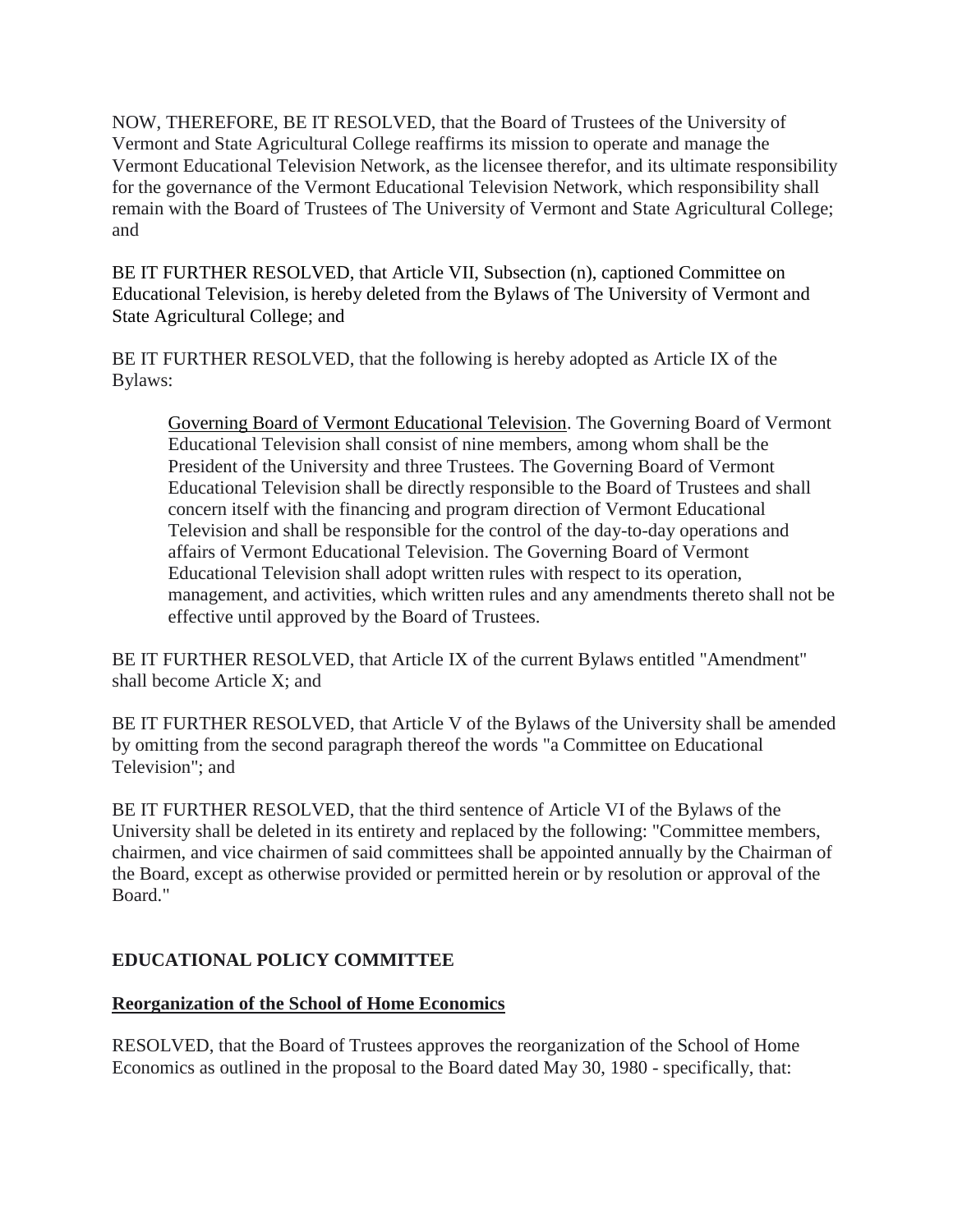<span id="page-17-0"></span>NOW, THEREFORE, BE IT RESOLVED, that the Board of Trustees of the University of Vermont and State Agricultural College reaffirms its mission to operate and manage the Vermont Educational Television Network, as the licensee therefor, and its ultimate responsibility for the governance of the Vermont Educational Television Network, which responsibility shall remain with the Board of Trustees of The University of Vermont and State Agricultural College; and

BE IT FURTHER RESOLVED, that Article VII, Subsection (n), captioned Committee on Educational Television, is hereby deleted from the Bylaws of The University of Vermont and State Agricultural College; and

BE IT FURTHER RESOLVED, that the following is hereby adopted as Article IX of the Bylaws:

Governing Board of Vermont Educational Television. The Governing Board of Vermont Educational Television shall consist of nine members, among whom shall be the President of the University and three Trustees. The Governing Board of Vermont Educational Television shall be directly responsible to the Board of Trustees and shall concern itself with the financing and program direction of Vermont Educational Television and shall be responsible for the control of the day-to-day operations and affairs of Vermont Educational Television. The Governing Board of Vermont Educational Television shall adopt written rules with respect to its operation, management, and activities, which written rules and any amendments thereto shall not be effective until approved by the Board of Trustees.

BE IT FURTHER RESOLVED, that Article IX of the current Bylaws entitled "Amendment" shall become Article X; and

BE IT FURTHER RESOLVED, that Article V of the Bylaws of the University shall be amended by omitting from the second paragraph thereof the words "a Committee on Educational Television"; and

BE IT FURTHER RESOLVED, that the third sentence of Article VI of the Bylaws of the University shall be deleted in its entirety and replaced by the following: "Committee members, chairmen, and vice chairmen of said committees shall be appointed annually by the Chairman of the Board, except as otherwise provided or permitted herein or by resolution or approval of the Board."

# **EDUCATIONAL POLICY COMMITTEE**

# **Reorganization of the School of Home Economics**

RESOLVED, that the Board of Trustees approves the reorganization of the School of Home Economics as outlined in the proposal to the Board dated May 30, 1980 - specifically, that: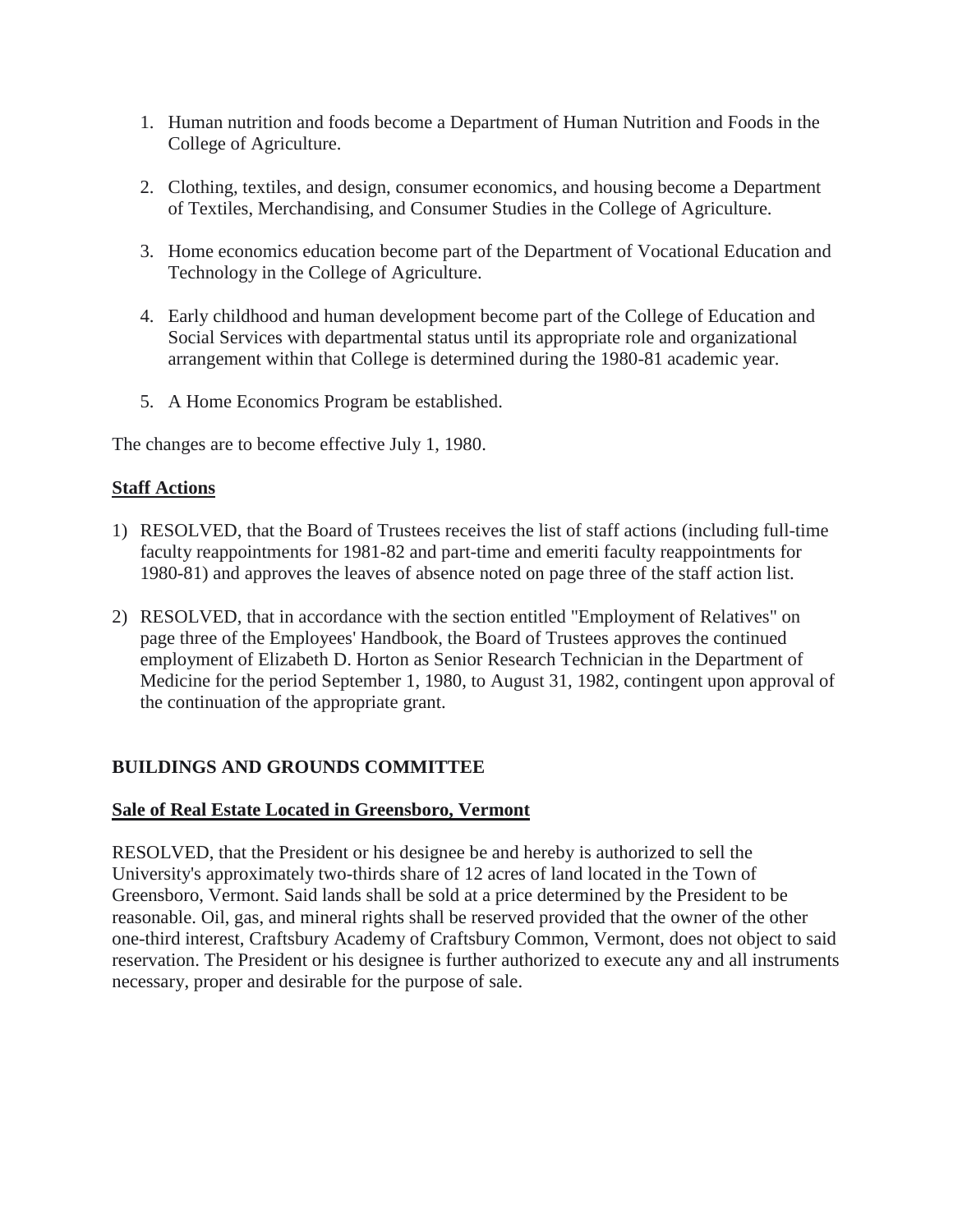- <span id="page-18-0"></span>1. Human nutrition and foods become a Department of Human Nutrition and Foods in the College of Agriculture.
- 2. Clothing, textiles, and design, consumer economics, and housing become a Department of Textiles, Merchandising, and Consumer Studies in the College of Agriculture.
- 3. Home economics education become part of the Department of Vocational Education and Technology in the College of Agriculture.
- 4. Early childhood and human development become part of the College of Education and Social Services with departmental status until its appropriate role and organizational arrangement within that College is determined during the 1980-81 academic year.
- 5. A Home Economics Program be established.

The changes are to become effective July 1, 1980.

### **Staff Actions**

- 1) RESOLVED, that the Board of Trustees receives the list of staff actions (including full-time faculty reappointments for 1981-82 and part-time and emeriti faculty reappointments for 1980-81) and approves the leaves of absence noted on page three of the staff action list.
- 2) RESOLVED, that in accordance with the section entitled "Employment of Relatives" on page three of the Employees' Handbook, the Board of Trustees approves the continued employment of Elizabeth D. Horton as Senior Research Technician in the Department of Medicine for the period September 1, 1980, to August 31, 1982, contingent upon approval of the continuation of the appropriate grant.

# **BUILDINGS AND GROUNDS COMMITTEE**

### **Sale of Real Estate Located in Greensboro, Vermont**

RESOLVED, that the President or his designee be and hereby is authorized to sell the University's approximately two-thirds share of 12 acres of land located in the Town of Greensboro, Vermont. Said lands shall be sold at a price determined by the President to be reasonable. Oil, gas, and mineral rights shall be reserved provided that the owner of the other one-third interest, Craftsbury Academy of Craftsbury Common, Vermont, does not object to said reservation. The President or his designee is further authorized to execute any and all instruments necessary, proper and desirable for the purpose of sale.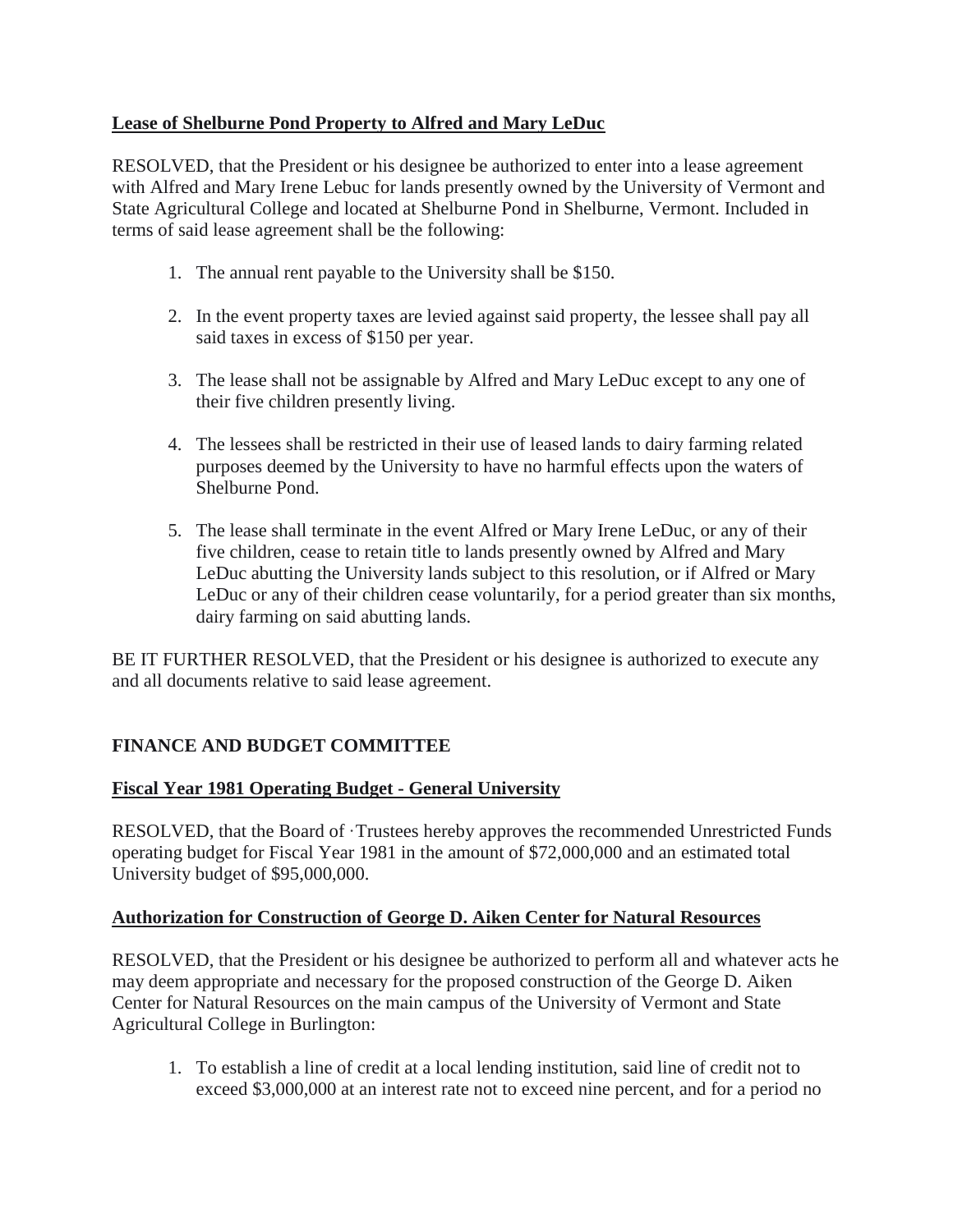# <span id="page-19-0"></span>**Lease of Shelburne Pond Property to Alfred and Mary LeDuc**

RESOLVED, that the President or his designee be authorized to enter into a lease agreement with Alfred and Mary Irene Lebuc for lands presently owned by the University of Vermont and State Agricultural College and located at Shelburne Pond in Shelburne, Vermont. Included in terms of said lease agreement shall be the following:

- 1. The annual rent payable to the University shall be \$150.
- 2. In the event property taxes are levied against said property, the lessee shall pay all said taxes in excess of \$150 per year.
- 3. The lease shall not be assignable by Alfred and Mary LeDuc except to any one of their five children presently living.
- 4. The lessees shall be restricted in their use of leased lands to dairy farming related purposes deemed by the University to have no harmful effects upon the waters of Shelburne Pond.
- 5. The lease shall terminate in the event Alfred or Mary Irene LeDuc, or any of their five children, cease to retain title to lands presently owned by Alfred and Mary LeDuc abutting the University lands subject to this resolution, or if Alfred or Mary LeDuc or any of their children cease voluntarily, for a period greater than six months, dairy farming on said abutting lands.

BE IT FURTHER RESOLVED, that the President or his designee is authorized to execute any and all documents relative to said lease agreement.

# **FINANCE AND BUDGET COMMITTEE**

# **Fiscal Year 1981 Operating Budget - General University**

RESOLVED, that the Board of ·Trustees hereby approves the recommended Unrestricted Funds operating budget for Fiscal Year 1981 in the amount of \$72,000,000 and an estimated total University budget of \$95,000,000.

# **Authorization for Construction of George D. Aiken Center for Natural Resources**

RESOLVED, that the President or his designee be authorized to perform all and whatever acts he may deem appropriate and necessary for the proposed construction of the George D. Aiken Center for Natural Resources on the main campus of the University of Vermont and State Agricultural College in Burlington:

1. To establish a line of credit at a local lending institution, said line of credit not to exceed \$3,000,000 at an interest rate not to exceed nine percent, and for a period no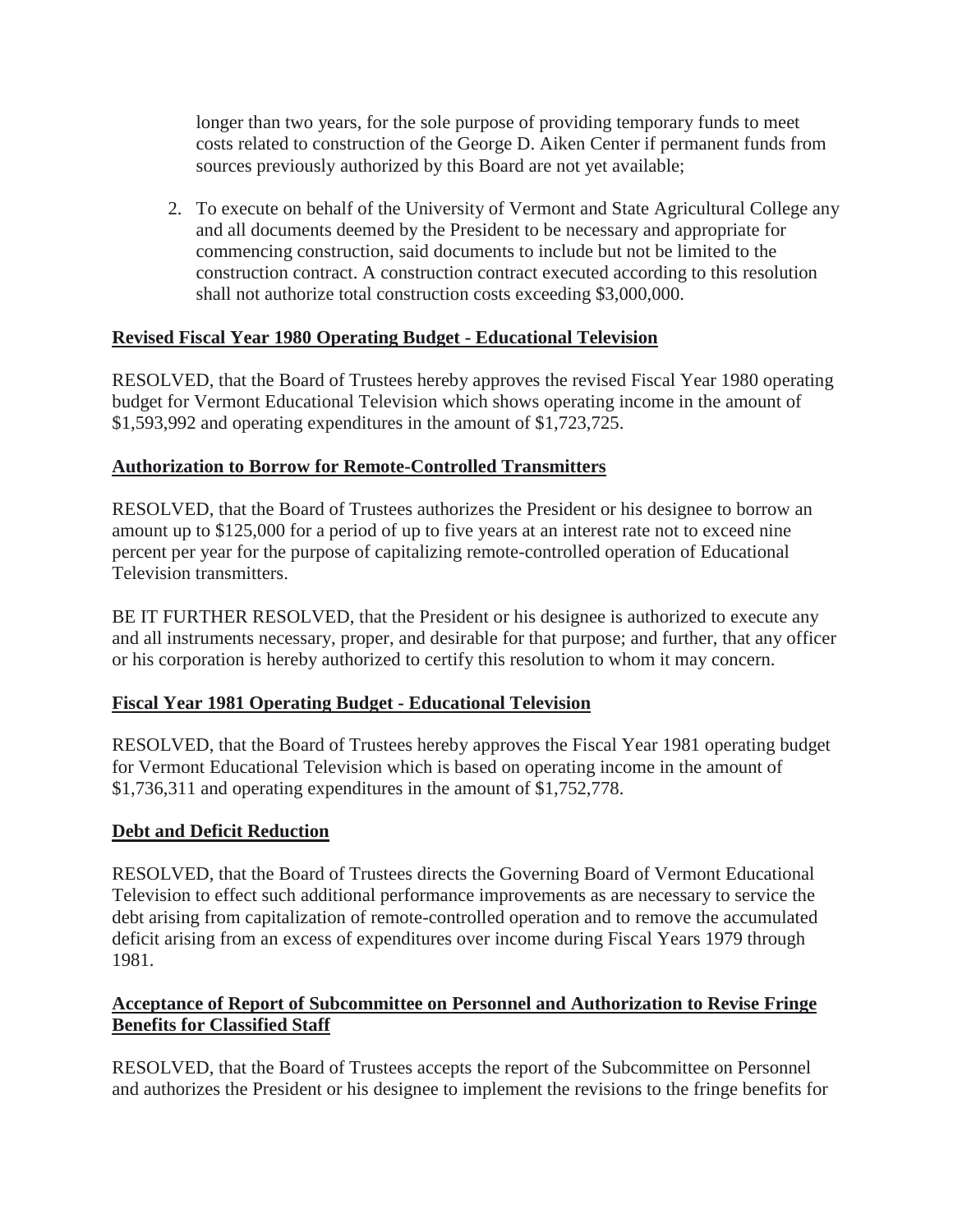<span id="page-20-0"></span>longer than two years, for the sole purpose of providing temporary funds to meet costs related to construction of the George D. Aiken Center if permanent funds from sources previously authorized by this Board are not yet available;

2. To execute on behalf of the University of Vermont and State Agricultural College any and all documents deemed by the President to be necessary and appropriate for commencing construction, said documents to include but not be limited to the construction contract. A construction contract executed according to this resolution shall not authorize total construction costs exceeding \$3,000,000.

# **Revised Fiscal Year 1980 Operating Budget - Educational Television**

RESOLVED, that the Board of Trustees hereby approves the revised Fiscal Year 1980 operating budget for Vermont Educational Television which shows operating income in the amount of \$1,593,992 and operating expenditures in the amount of \$1,723,725.

# **Authorization to Borrow for Remote-Controlled Transmitters**

RESOLVED, that the Board of Trustees authorizes the President or his designee to borrow an amount up to \$125,000 for a period of up to five years at an interest rate not to exceed nine percent per year for the purpose of capitalizing remote-controlled operation of Educational Television transmitters.

BE IT FURTHER RESOLVED, that the President or his designee is authorized to execute any and all instruments necessary, proper, and desirable for that purpose; and further, that any officer or his corporation is hereby authorized to certify this resolution to whom it may concern.

# **Fiscal Year 1981 Operating Budget - Educational Television**

RESOLVED, that the Board of Trustees hereby approves the Fiscal Year 1981 operating budget for Vermont Educational Television which is based on operating income in the amount of \$1,736,311 and operating expenditures in the amount of \$1,752,778.

# **Debt and Deficit Reduction**

RESOLVED, that the Board of Trustees directs the Governing Board of Vermont Educational Television to effect such additional performance improvements as are necessary to service the debt arising from capitalization of remote-controlled operation and to remove the accumulated deficit arising from an excess of expenditures over income during Fiscal Years 1979 through 1981.

# **Acceptance of Report of Subcommittee on Personnel and Authorization to Revise Fringe Benefits for Classified Staff**

RESOLVED, that the Board of Trustees accepts the report of the Subcommittee on Personnel and authorizes the President or his designee to implement the revisions to the fringe benefits for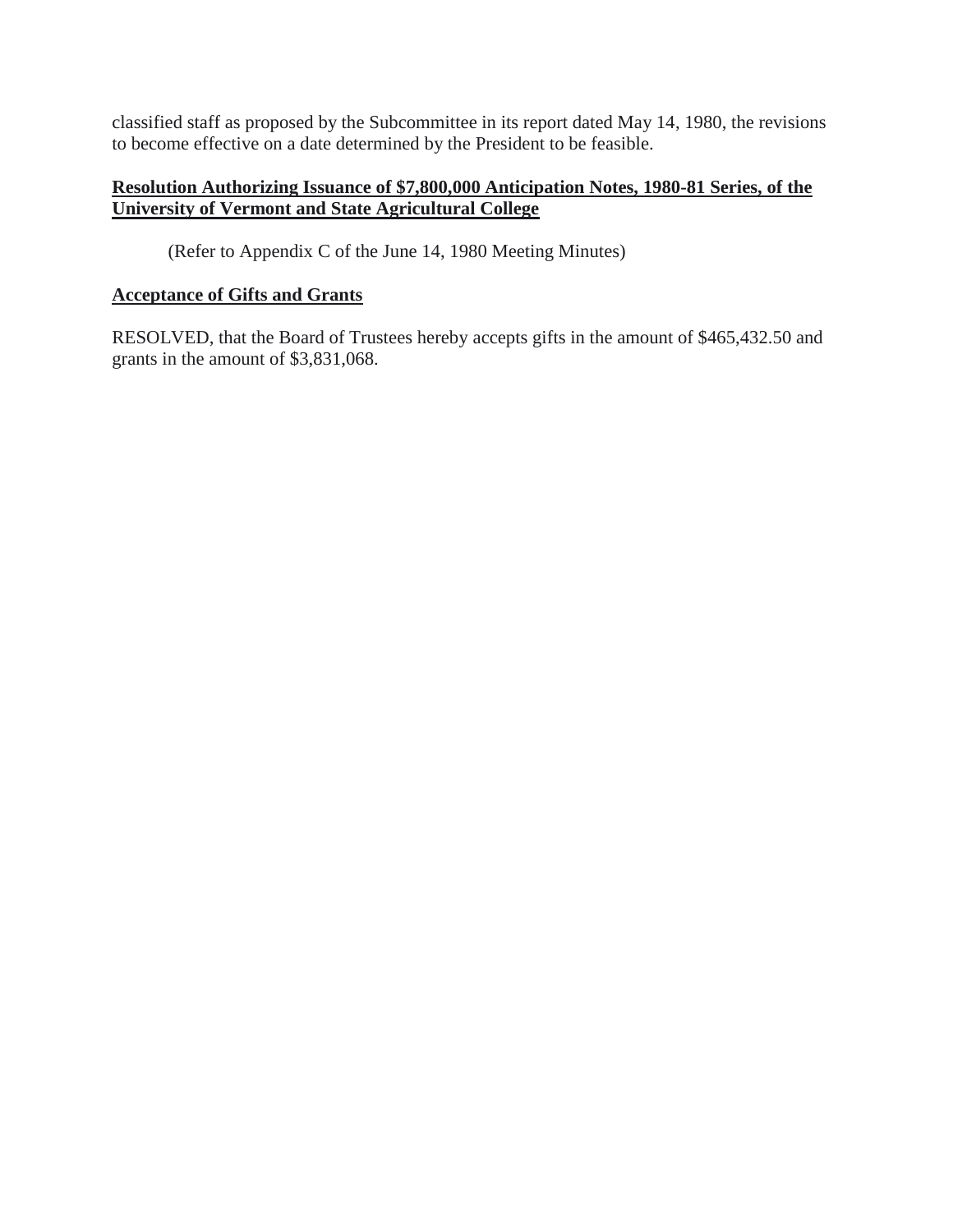<span id="page-21-0"></span>classified staff as proposed by the Subcommittee in its report dated May 14, 1980, the revisions to become effective on a date determined by the President to be feasible.

# **Resolution Authorizing Issuance of \$7,800,000 Anticipation Notes, 1980-81 Series, of the University of Vermont and State Agricultural College**

(Refer to Appendix C of the June 14, 1980 Meeting Minutes)

# **Acceptance of Gifts and Grants**

RESOLVED, that the Board of Trustees hereby accepts gifts in the amount of \$465,432.50 and grants in the amount of \$3,831,068.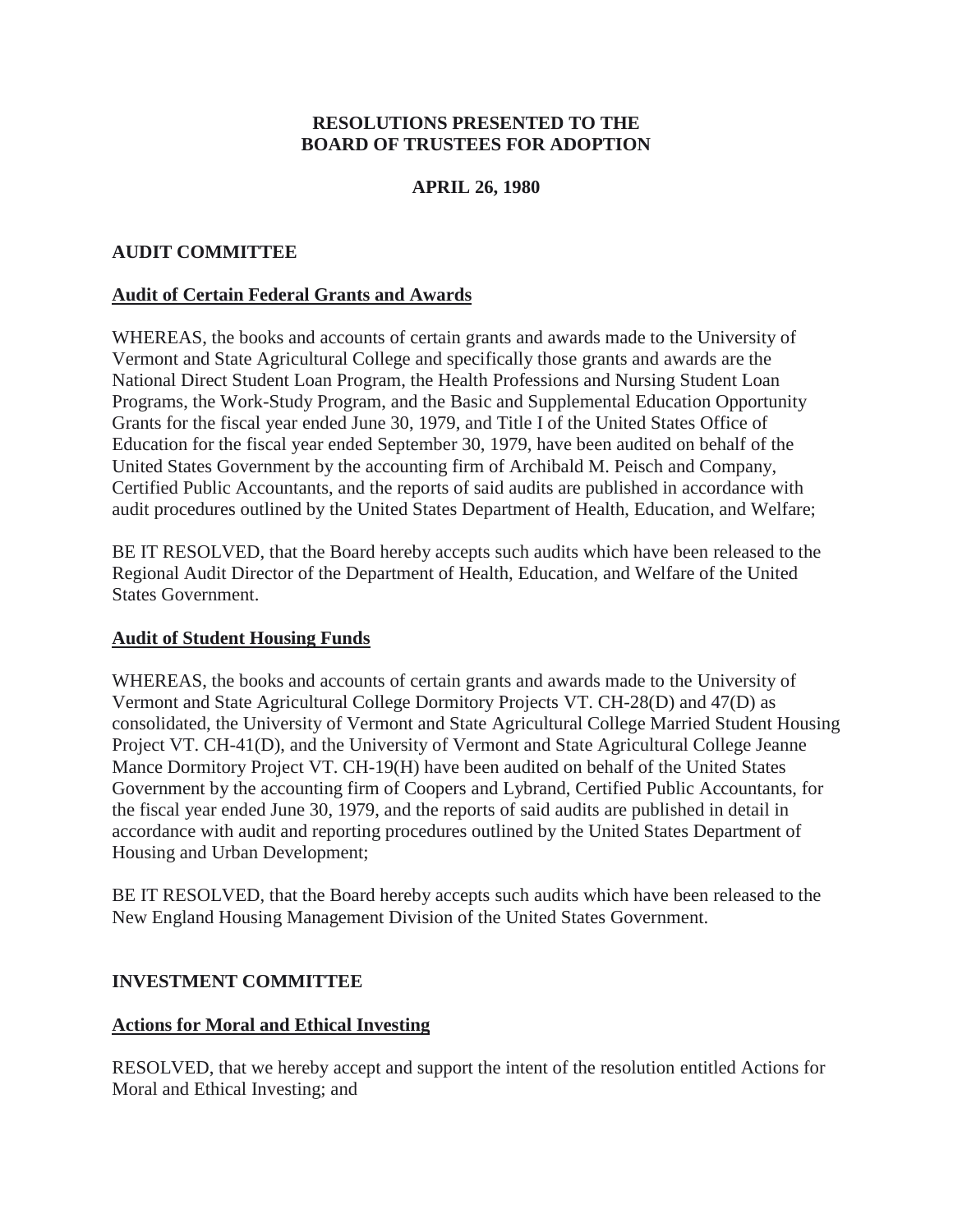## **RESOLUTIONS PRESENTED TO THE BOARD OF TRUSTEES FOR ADOPTION**

## **APRIL 26, 1980**

### <span id="page-22-0"></span>**AUDIT COMMITTEE**

### **Audit of Certain Federal Grants and Awards**

WHEREAS, the books and accounts of certain grants and awards made to the University of Vermont and State Agricultural College and specifically those grants and awards are the National Direct Student Loan Program, the Health Professions and Nursing Student Loan Programs, the Work-Study Program, and the Basic and Supplemental Education Opportunity Grants for the fiscal year ended June 30, 1979, and Title I of the United States Office of Education for the fiscal year ended September 30, 1979, have been audited on behalf of the United States Government by the accounting firm of Archibald M. Peisch and Company, Certified Public Accountants, and the reports of said audits are published in accordance with audit procedures outlined by the United States Department of Health, Education, and Welfare;

BE IT RESOLVED, that the Board hereby accepts such audits which have been released to the Regional Audit Director of the Department of Health, Education, and Welfare of the United States Government.

### **Audit of Student Housing Funds**

WHEREAS, the books and accounts of certain grants and awards made to the University of Vermont and State Agricultural College Dormitory Projects VT. CH-28(D) and 47(D) as consolidated, the University of Vermont and State Agricultural College Married Student Housing Project VT. CH-41(D), and the University of Vermont and State Agricultural College Jeanne Mance Dormitory Project VT. CH-19(H) have been audited on behalf of the United States Government by the accounting firm of Coopers and Lybrand, Certified Public Accountants, for the fiscal year ended June 30, 1979, and the reports of said audits are published in detail in accordance with audit and reporting procedures outlined by the United States Department of Housing and Urban Development;

BE IT RESOLVED, that the Board hereby accepts such audits which have been released to the New England Housing Management Division of the United States Government.

### **INVESTMENT COMMITTEE**

### **Actions for Moral and Ethical Investing**

RESOLVED, that we hereby accept and support the intent of the resolution entitled Actions for Moral and Ethical Investing; and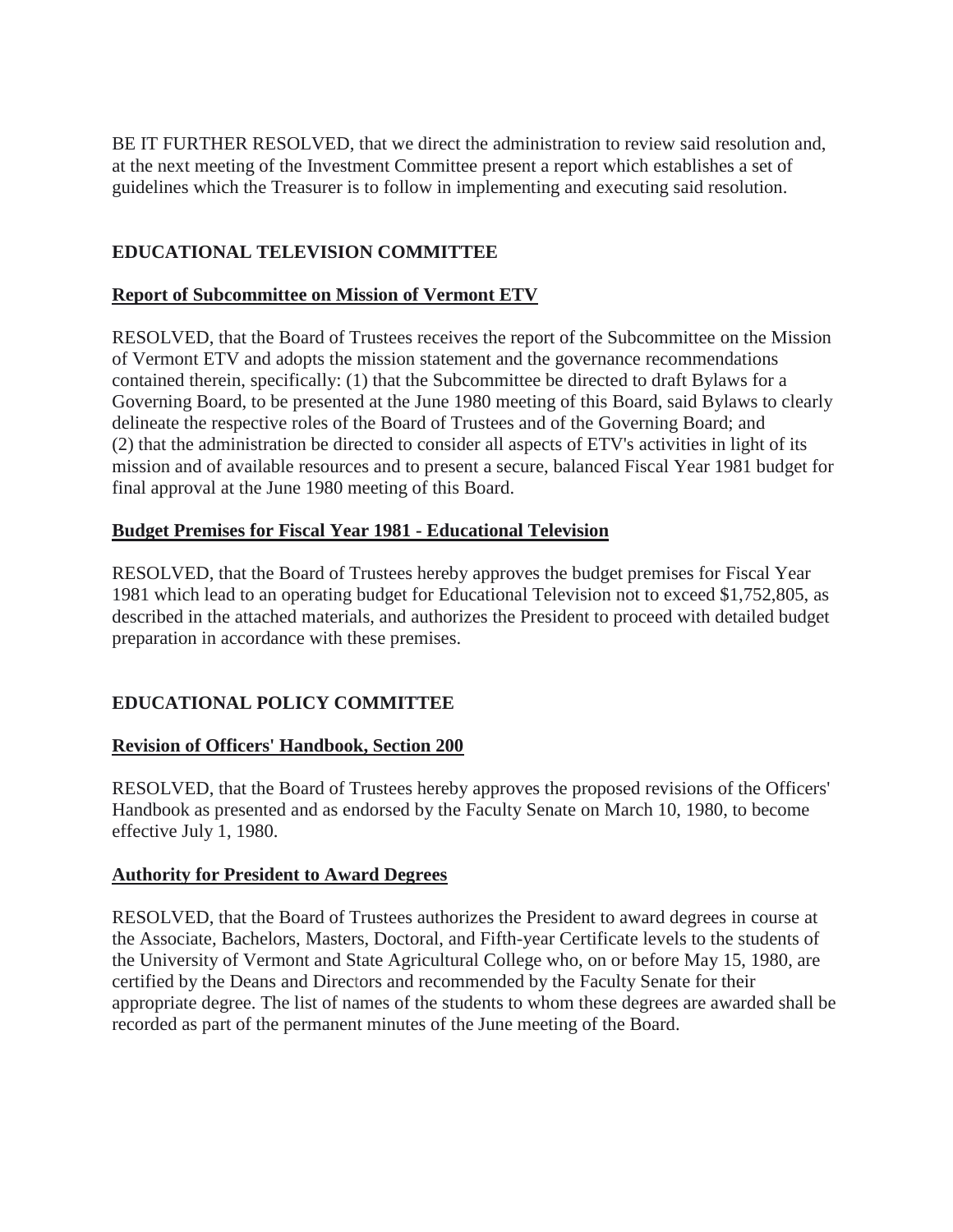<span id="page-23-0"></span>BE IT FURTHER RESOLVED, that we direct the administration to review said resolution and, at the next meeting of the Investment Committee present a report which establishes a set of guidelines which the Treasurer is to follow in implementing and executing said resolution.

# **EDUCATIONAL TELEVISION COMMITTEE**

# **Report of Subcommittee on Mission of Vermont ETV**

RESOLVED, that the Board of Trustees receives the report of the Subcommittee on the Mission of Vermont ETV and adopts the mission statement and the governance recommendations contained therein, specifically: (1) that the Subcommittee be directed to draft Bylaws for a Governing Board, to be presented at the June 1980 meeting of this Board, said Bylaws to clearly delineate the respective roles of the Board of Trustees and of the Governing Board; and (2) that the administration be directed to consider all aspects of ETV's activities in light of its mission and of available resources and to present a secure, balanced Fiscal Year 1981 budget for final approval at the June 1980 meeting of this Board.

# **Budget Premises for Fiscal Year 1981 - Educational Television**

RESOLVED, that the Board of Trustees hereby approves the budget premises for Fiscal Year 1981 which lead to an operating budget for Educational Television not to exceed \$1,752,805, as described in the attached materials, and authorizes the President to proceed with detailed budget preparation in accordance with these premises.

# **EDUCATIONAL POLICY COMMITTEE**

# **Revision of Officers' Handbook, Section 200**

RESOLVED, that the Board of Trustees hereby approves the proposed revisions of the Officers' Handbook as presented and as endorsed by the Faculty Senate on March 10, 1980, to become effective July 1, 1980.

# **Authority for President to Award Degrees**

RESOLVED, that the Board of Trustees authorizes the President to award degrees in course at the Associate, Bachelors, Masters, Doctoral, and Fifth-year Certificate levels to the students of the University of Vermont and State Agricultural College who, on or before May 15, 1980, are certified by the Deans and Directors and recommended by the Faculty Senate for their appropriate degree. The list of names of the students to whom these degrees are awarded shall be recorded as part of the permanent minutes of the June meeting of the Board.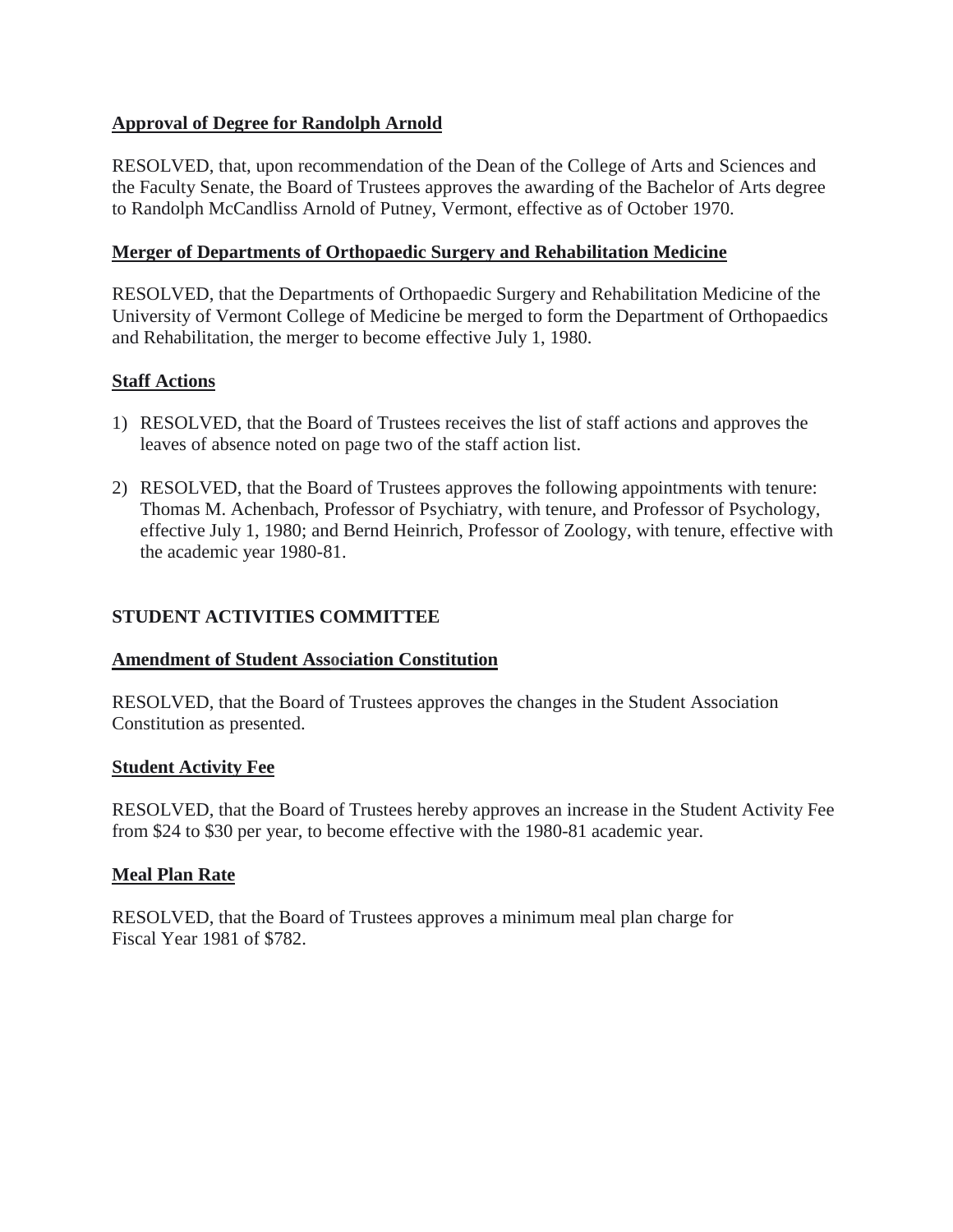# <span id="page-24-0"></span>**Approval of Degree for Randolph Arnold**

RESOLVED, that, upon recommendation of the Dean of the College of Arts and Sciences and the Faculty Senate, the Board of Trustees approves the awarding of the Bachelor of Arts degree to Randolph McCandliss Arnold of Putney, Vermont, effective as of October 1970.

# **Merger of Departments of Orthopaedic Surgery and Rehabilitation Medicine**

RESOLVED, that the Departments of Orthopaedic Surgery and Rehabilitation Medicine of the University of Vermont College of Medicine be merged to form the Department of Orthopaedics and Rehabilitation, the merger to become effective July 1, 1980.

# **Staff Actions**

- 1) RESOLVED, that the Board of Trustees receives the list of staff actions and approves the leaves of absence noted on page two of the staff action list.
- 2) RESOLVED, that the Board of Trustees approves the following appointments with tenure: Thomas M. Achenbach, Professor of Psychiatry, with tenure, and Professor of Psychology, effective July 1, 1980; and Bernd Heinrich, Professor of Zoology, with tenure, effective with the academic year 1980-81.

# **STUDENT ACTIVITIES COMMITTEE**

# **Amendment of Student Association Constitution**

RESOLVED, that the Board of Trustees approves the changes in the Student Association Constitution as presented.

# **Student Activity Fee**

RESOLVED, that the Board of Trustees hereby approves an increase in the Student Activity Fee from \$24 to \$30 per year, to become effective with the 1980-81 academic year.

# **Meal Plan Rate**

RESOLVED, that the Board of Trustees approves a minimum meal plan charge for Fiscal Year 1981 of \$782.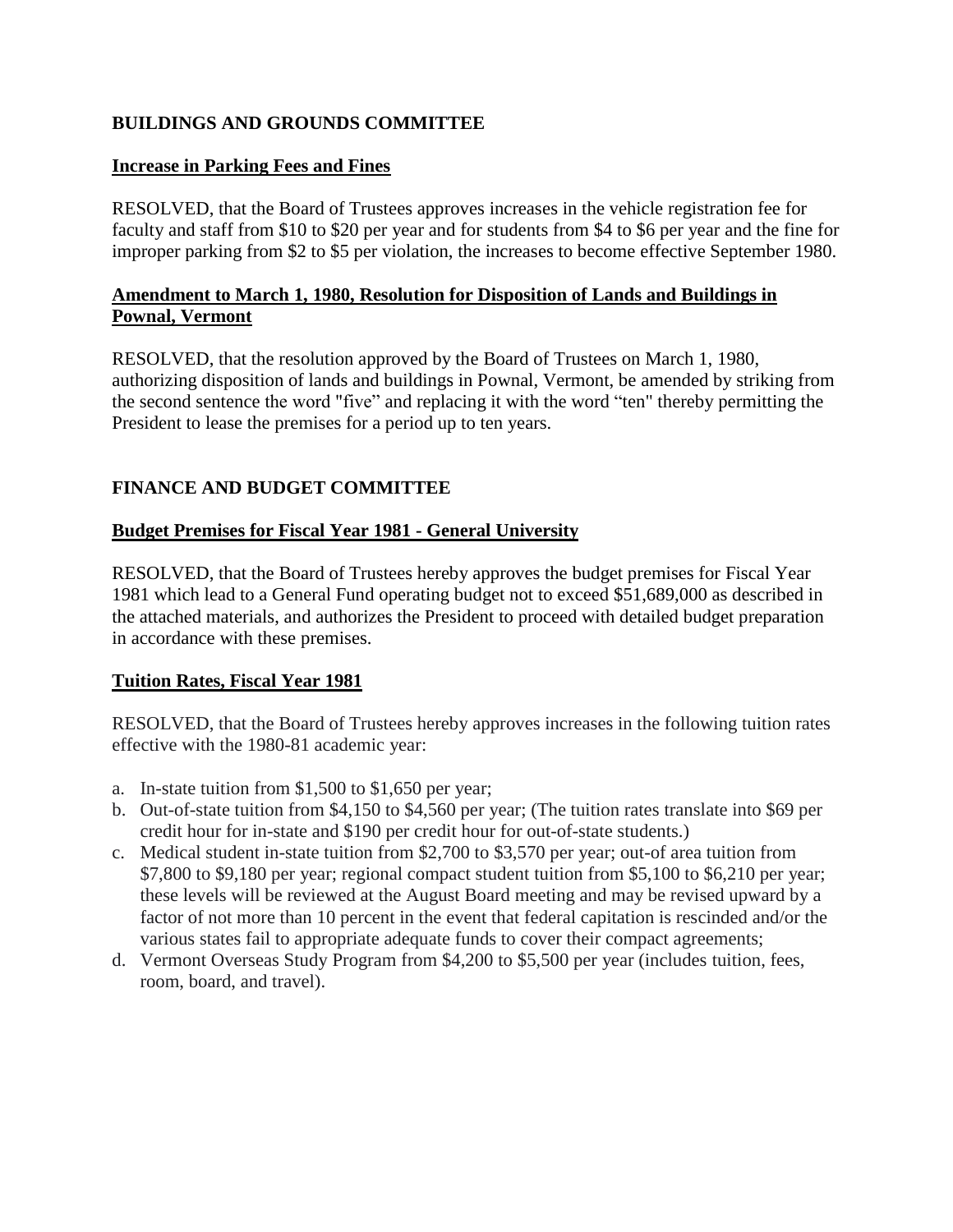# <span id="page-25-0"></span>**BUILDINGS AND GROUNDS COMMITTEE**

## **Increase in Parking Fees and Fines**

RESOLVED, that the Board of Trustees approves increases in the vehicle registration fee for faculty and staff from \$10 to \$20 per year and for students from \$4 to \$6 per year and the fine for improper parking from \$2 to \$5 per violation, the increases to become effective September 1980.

# **Amendment to March 1, 1980, Resolution for Disposition of Lands and Buildings in Pownal, Vermont**

RESOLVED, that the resolution approved by the Board of Trustees on March 1, 1980, authorizing disposition of lands and buildings in Pownal, Vermont, be amended by striking from the second sentence the word "five" and replacing it with the word "ten" thereby permitting the President to lease the premises for a period up to ten years.

# **FINANCE AND BUDGET COMMITTEE**

# **Budget Premises for Fiscal Year 1981 - General University**

RESOLVED, that the Board of Trustees hereby approves the budget premises for Fiscal Year 1981 which lead to a General Fund operating budget not to exceed \$51,689,000 as described in the attached materials, and authorizes the President to proceed with detailed budget preparation in accordance with these premises.

### **Tuition Rates, Fiscal Year 1981**

RESOLVED, that the Board of Trustees hereby approves increases in the following tuition rates effective with the 1980-81 academic year:

- a. In-state tuition from \$1,500 to \$1,650 per year;
- b. Out-of-state tuition from \$4,150 to \$4,560 per year; (The tuition rates translate into \$69 per credit hour for in-state and \$190 per credit hour for out-of-state students.)
- c. Medical student in-state tuition from \$2,700 to \$3,570 per year; out-of area tuition from \$7,800 to \$9,180 per year; regional compact student tuition from \$5,100 to \$6,210 per year; these levels will be reviewed at the August Board meeting and may be revised upward by a factor of not more than 10 percent in the event that federal capitation is rescinded and/or the various states fail to appropriate adequate funds to cover their compact agreements;
- d. Vermont Overseas Study Program from \$4,200 to \$5,500 per year (includes tuition, fees, room, board, and travel).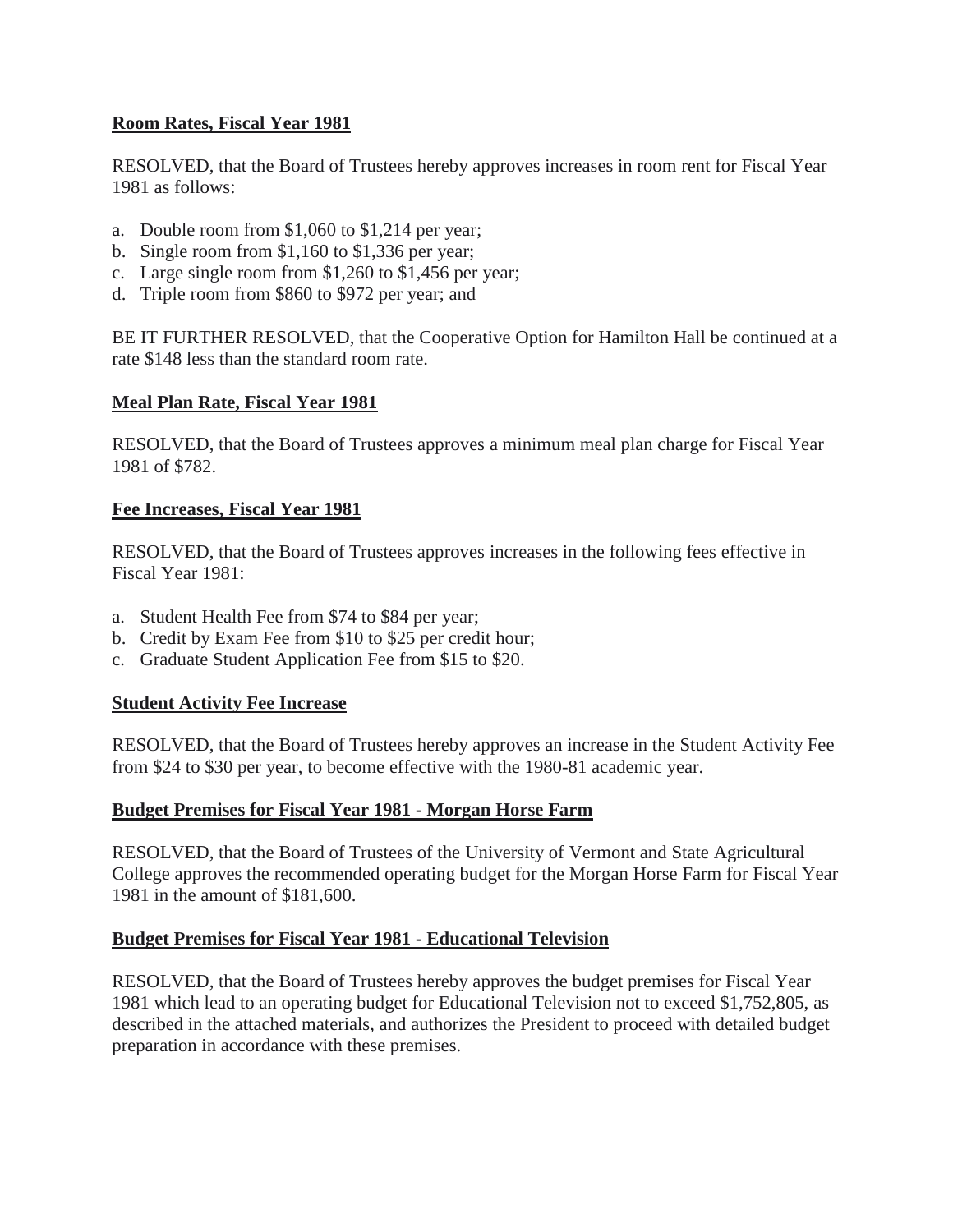## <span id="page-26-0"></span>**Room Rates, Fiscal Year 1981**

RESOLVED, that the Board of Trustees hereby approves increases in room rent for Fiscal Year 1981 as follows:

- a. Double room from \$1,060 to \$1,214 per year;
- b. Single room from \$1,160 to \$1,336 per year;
- c. Large single room from \$1,260 to \$1,456 per year;
- d. Triple room from \$860 to \$972 per year; and

BE IT FURTHER RESOLVED, that the Cooperative Option for Hamilton Hall be continued at a rate \$148 less than the standard room rate.

### **Meal Plan Rate, Fiscal Year 1981**

RESOLVED, that the Board of Trustees approves a minimum meal plan charge for Fiscal Year 1981 of \$782.

### **Fee Increases, Fiscal Year 1981**

RESOLVED, that the Board of Trustees approves increases in the following fees effective in Fiscal Year 1981:

- a. Student Health Fee from \$74 to \$84 per year;
- b. Credit by Exam Fee from \$10 to \$25 per credit hour;
- c. Graduate Student Application Fee from \$15 to \$20.

### **Student Activity Fee Increase**

RESOLVED, that the Board of Trustees hereby approves an increase in the Student Activity Fee from \$24 to \$30 per year, to become effective with the 1980-81 academic year.

### **Budget Premises for Fiscal Year 1981 - Morgan Horse Farm**

RESOLVED, that the Board of Trustees of the University of Vermont and State Agricultural College approves the recommended operating budget for the Morgan Horse Farm for Fiscal Year 1981 in the amount of \$181,600.

### **Budget Premises for Fiscal Year 1981 - Educational Television**

RESOLVED, that the Board of Trustees hereby approves the budget premises for Fiscal Year 1981 which lead to an operating budget for Educational Television not to exceed \$1,752,805, as described in the attached materials, and authorizes the President to proceed with detailed budget preparation in accordance with these premises.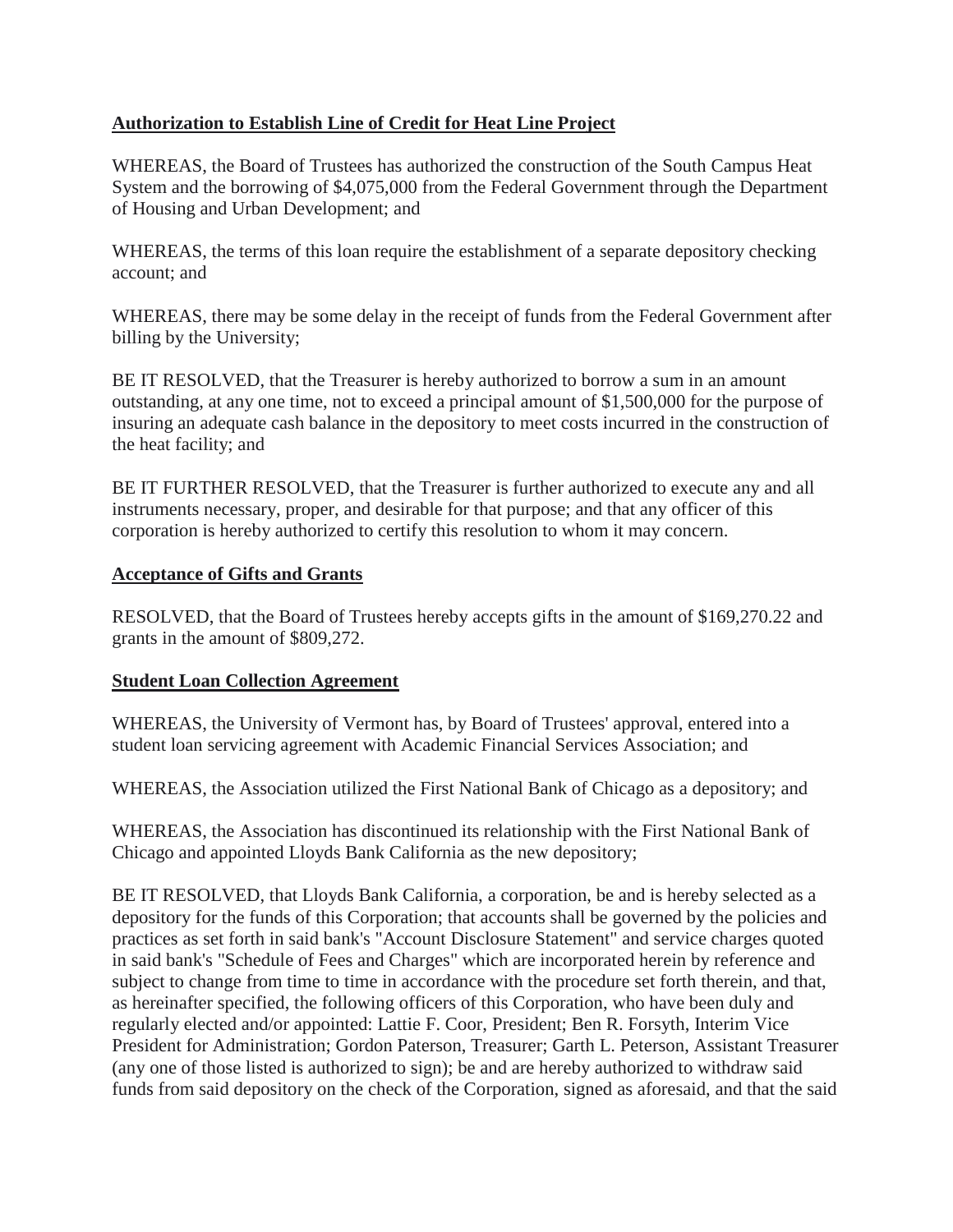# <span id="page-27-0"></span>**Authorization to Establish Line of Credit for Heat Line Project**

WHEREAS, the Board of Trustees has authorized the construction of the South Campus Heat System and the borrowing of \$4,075,000 from the Federal Government through the Department of Housing and Urban Development; and

WHEREAS, the terms of this loan require the establishment of a separate depository checking account; and

WHEREAS, there may be some delay in the receipt of funds from the Federal Government after billing by the University;

BE IT RESOLVED, that the Treasurer is hereby authorized to borrow a sum in an amount outstanding, at any one time, not to exceed a principal amount of \$1,500,000 for the purpose of insuring an adequate cash balance in the depository to meet costs incurred in the construction of the heat facility; and

BE IT FURTHER RESOLVED, that the Treasurer is further authorized to execute any and all instruments necessary, proper, and desirable for that purpose; and that any officer of this corporation is hereby authorized to certify this resolution to whom it may concern.

### **Acceptance of Gifts and Grants**

RESOLVED, that the Board of Trustees hereby accepts gifts in the amount of \$169,270.22 and grants in the amount of \$809,272.

# **Student Loan Collection Agreement**

WHEREAS, the University of Vermont has, by Board of Trustees' approval, entered into a student loan servicing agreement with Academic Financial Services Association; and

WHEREAS, the Association utilized the First National Bank of Chicago as a depository; and

WHEREAS, the Association has discontinued its relationship with the First National Bank of Chicago and appointed Lloyds Bank California as the new depository;

BE IT RESOLVED, that Lloyds Bank California, a corporation, be and is hereby selected as a depository for the funds of this Corporation; that accounts shall be governed by the policies and practices as set forth in said bank's "Account Disclosure Statement" and service charges quoted in said bank's "Schedule of Fees and Charges" which are incorporated herein by reference and subject to change from time to time in accordance with the procedure set forth therein, and that, as hereinafter specified, the following officers of this Corporation, who have been duly and regularly elected and/or appointed: Lattie F. Coor, President; Ben R. Forsyth, Interim Vice President for Administration; Gordon Paterson, Treasurer; Garth L. Peterson, Assistant Treasurer (any one of those listed is authorized to sign); be and are hereby authorized to withdraw said funds from said depository on the check of the Corporation, signed as aforesaid, and that the said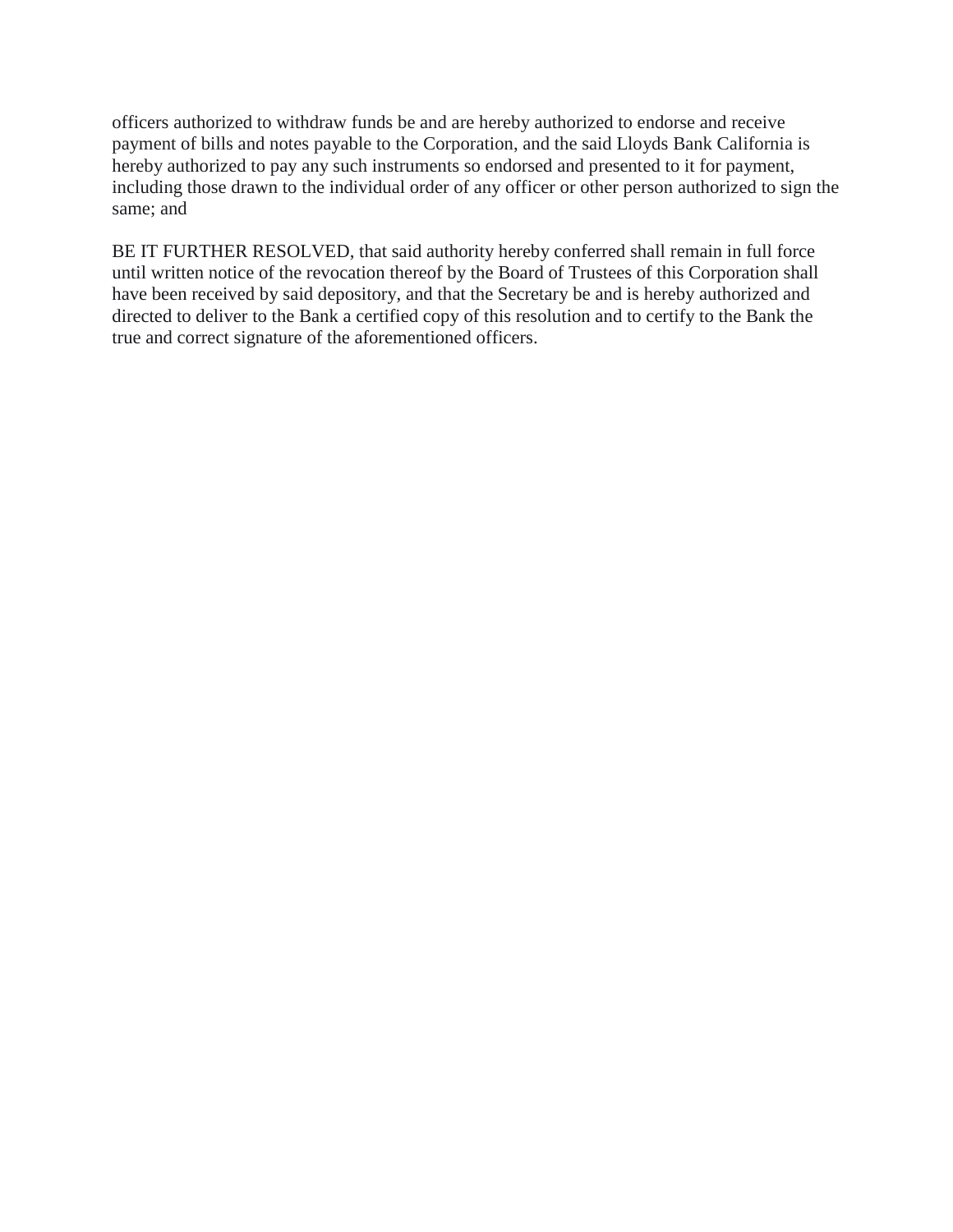officers authorized to withdraw funds be and are hereby authorized to endorse and receive payment of bills and notes payable to the Corporation, and the said Lloyds Bank California is hereby authorized to pay any such instruments so endorsed and presented to it for payment, including those drawn to the individual order of any officer or other person authorized to sign the same; and

BE IT FURTHER RESOLVED, that said authority hereby conferred shall remain in full force until written notice of the revocation thereof by the Board of Trustees of this Corporation shall have been received by said depository, and that the Secretary be and is hereby authorized and directed to deliver to the Bank a certified copy of this resolution and to certify to the Bank the true and correct signature of the aforementioned officers.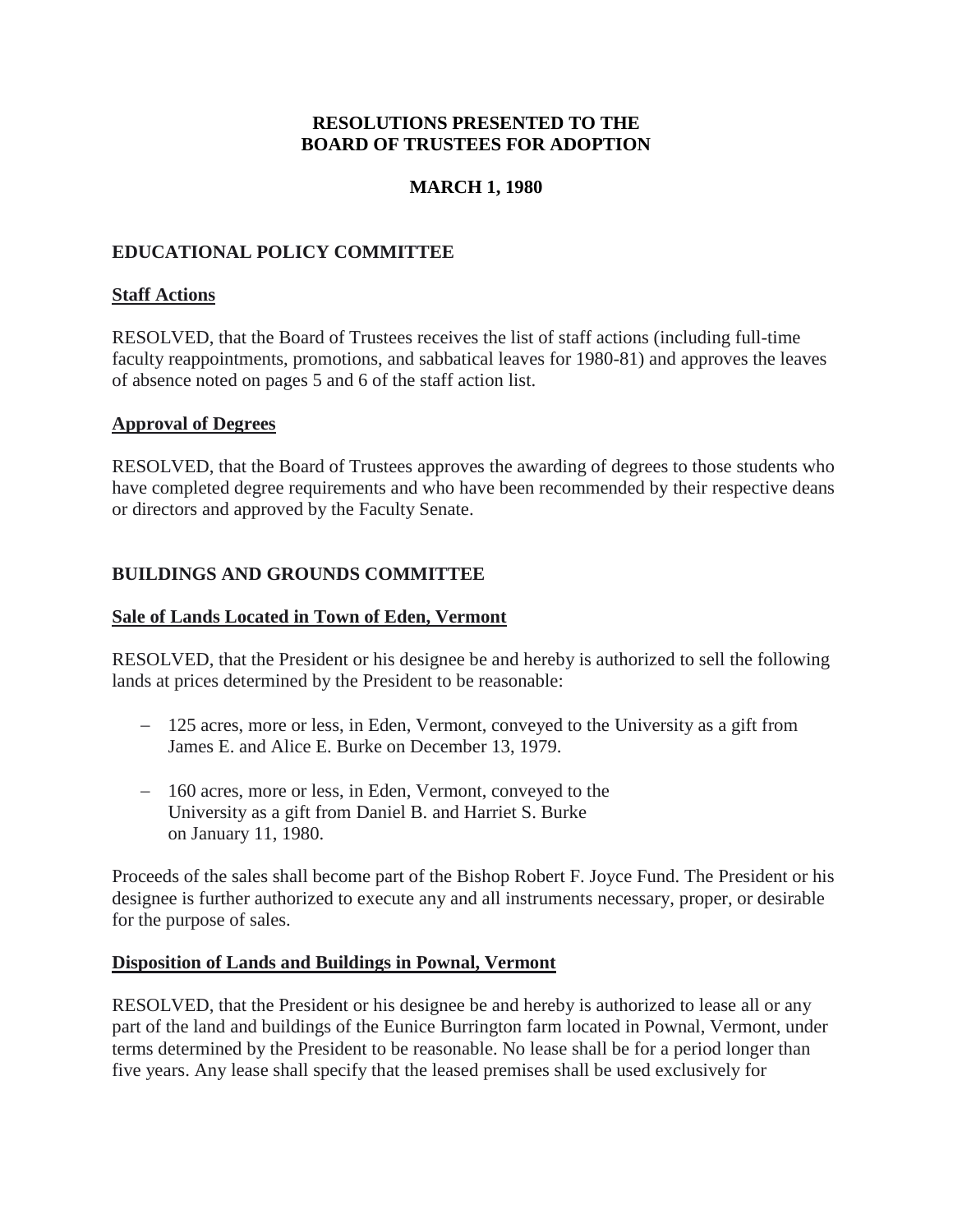## **RESOLUTIONS PRESENTED TO THE BOARD OF TRUSTEES FOR ADOPTION**

## **MARCH 1, 1980**

## <span id="page-29-0"></span>**EDUCATIONAL POLICY COMMITTEE**

### **Staff Actions**

RESOLVED, that the Board of Trustees receives the list of staff actions (including full-time faculty reappointments, promotions, and sabbatical leaves for 1980-81) and approves the leaves of absence noted on pages 5 and 6 of the staff action list.

#### **Approval of Degrees**

RESOLVED, that the Board of Trustees approves the awarding of degrees to those students who have completed degree requirements and who have been recommended by their respective deans or directors and approved by the Faculty Senate.

### **BUILDINGS AND GROUNDS COMMITTEE**

### **Sale of Lands Located in Town of Eden, Vermont**

RESOLVED, that the President or his designee be and hereby is authorized to sell the following lands at prices determined by the President to be reasonable:

- 125 acres, more or less, in Eden, Vermont, conveyed to the University as a gift from James E. and Alice E. Burke on December 13, 1979.
- 160 acres, more or less, in Eden, Vermont, conveyed to the University as a gift from Daniel B. and Harriet S. Burke on January 11, 1980.

Proceeds of the sales shall become part of the Bishop Robert F. Joyce Fund. The President or his designee is further authorized to execute any and all instruments necessary, proper, or desirable for the purpose of sales.

#### **Disposition of Lands and Buildings in Pownal, Vermont**

RESOLVED, that the President or his designee be and hereby is authorized to lease all or any part of the land and buildings of the Eunice Burrington farm located in Pownal, Vermont, under terms determined by the President to be reasonable. No lease shall be for a period longer than five years. Any lease shall specify that the leased premises shall be used exclusively for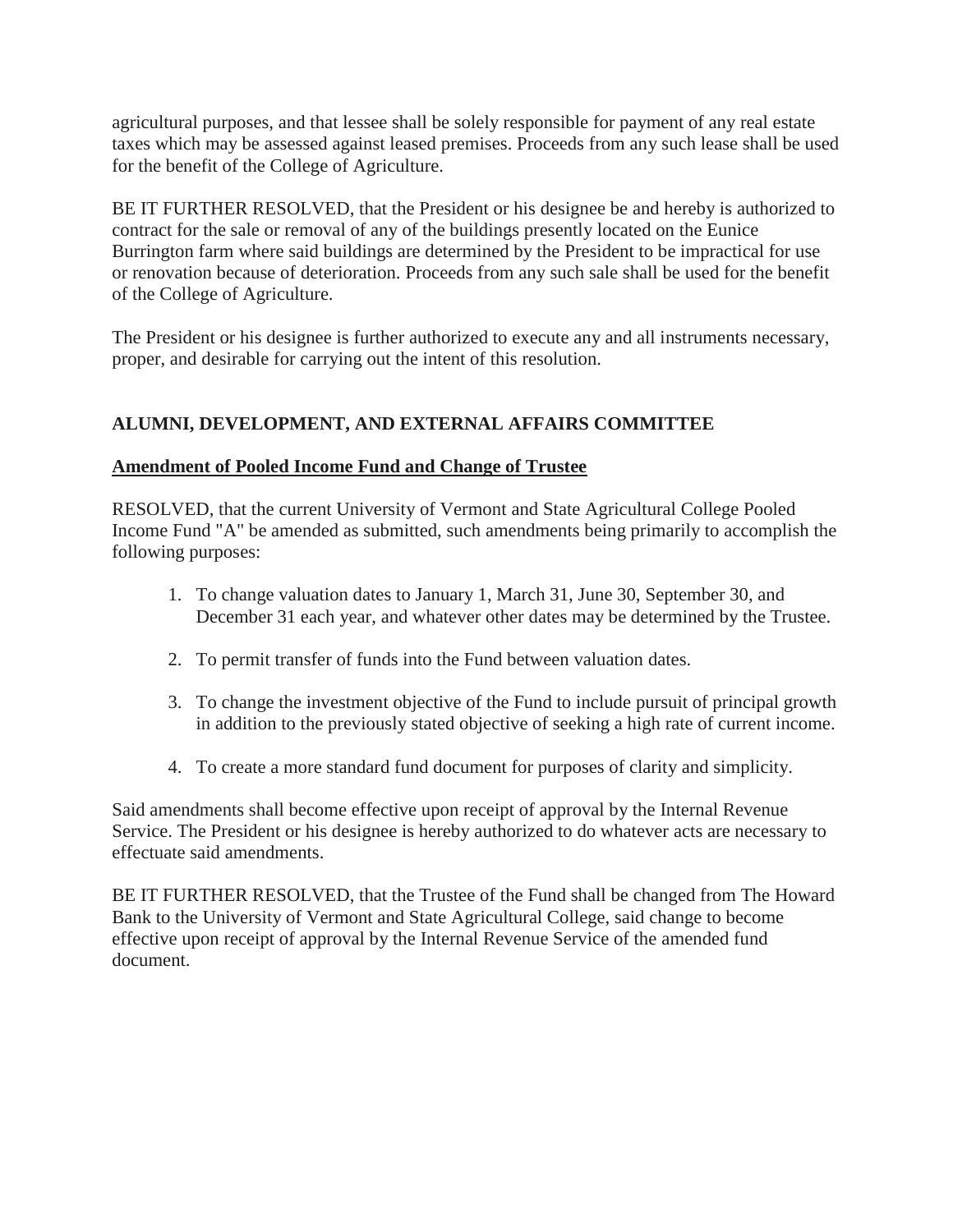<span id="page-30-0"></span>agricultural purposes, and that lessee shall be solely responsible for payment of any real estate taxes which may be assessed against leased premises. Proceeds from any such lease shall be used for the benefit of the College of Agriculture.

BE IT FURTHER RESOLVED, that the President or his designee be and hereby is authorized to contract for the sale or removal of any of the buildings presently located on the Eunice Burrington farm where said buildings are determined by the President to be impractical for use or renovation because of deterioration. Proceeds from any such sale shall be used for the benefit of the College of Agriculture.

The President or his designee is further authorized to execute any and all instruments necessary, proper, and desirable for carrying out the intent of this resolution.

# **ALUMNI, DEVELOPMENT, AND EXTERNAL AFFAIRS COMMITTEE**

# **Amendment of Pooled Income Fund and Change of Trustee**

RESOLVED, that the current University of Vermont and State Agricultural College Pooled Income Fund "A" be amended as submitted, such amendments being primarily to accomplish the following purposes:

- 1. To change valuation dates to January 1, March 31, June 30, September 30, and December 31 each year, and whatever other dates may be determined by the Trustee.
- 2. To permit transfer of funds into the Fund between valuation dates.
- 3. To change the investment objective of the Fund to include pursuit of principal growth in addition to the previously stated objective of seeking a high rate of current income.
- 4. To create a more standard fund document for purposes of clarity and simplicity.

Said amendments shall become effective upon receipt of approval by the Internal Revenue Service. The President or his designee is hereby authorized to do whatever acts are necessary to effectuate said amendments.

BE IT FURTHER RESOLVED, that the Trustee of the Fund shall be changed from The Howard Bank to the University of Vermont and State Agricultural College, said change to become effective upon receipt of approval by the Internal Revenue Service of the amended fund document.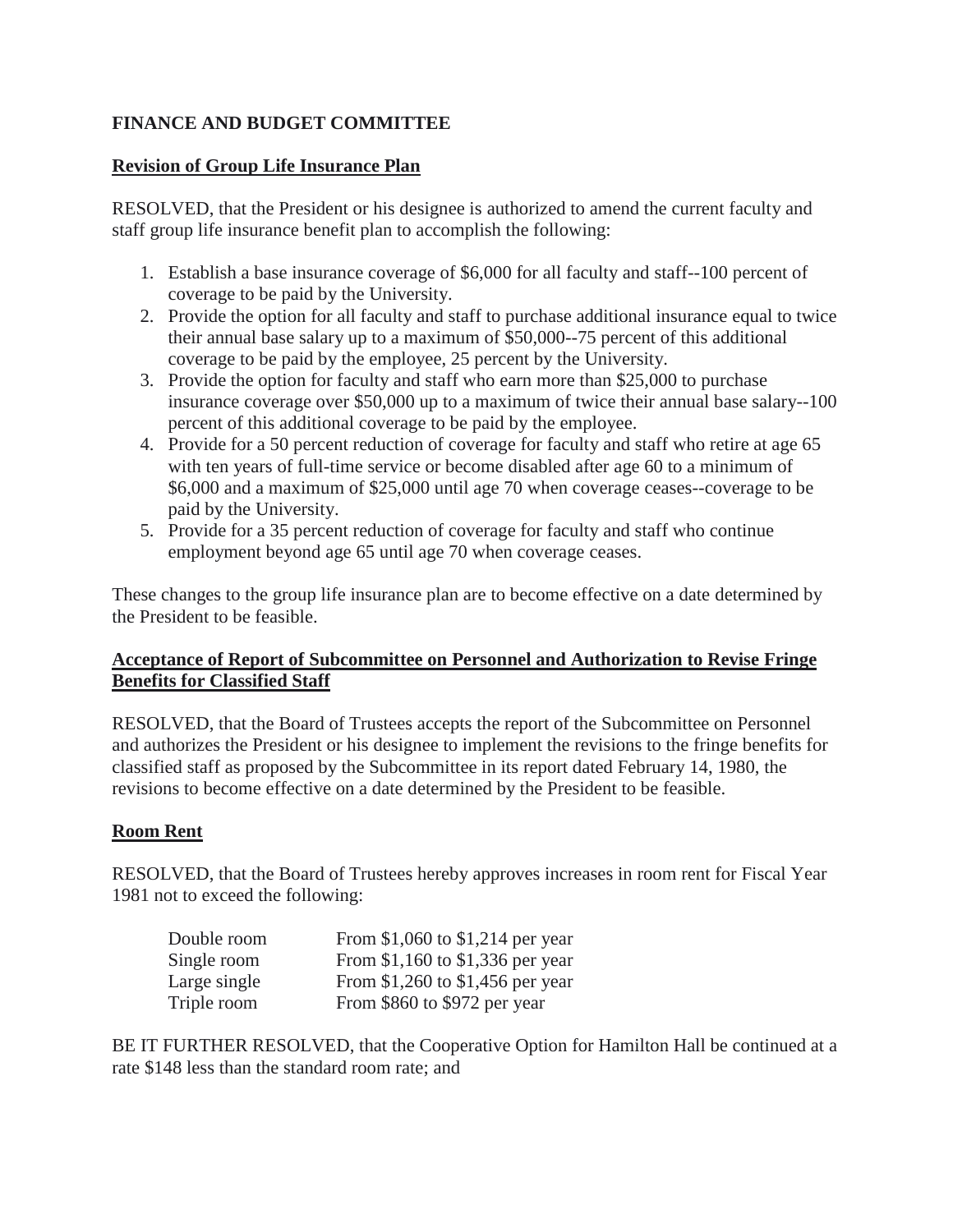# <span id="page-31-0"></span>**FINANCE AND BUDGET COMMITTEE**

## **Revision of Group Life Insurance Plan**

RESOLVED, that the President or his designee is authorized to amend the current faculty and staff group life insurance benefit plan to accomplish the following:

- 1. Establish a base insurance coverage of \$6,000 for all faculty and staff--100 percent of coverage to be paid by the University.
- 2. Provide the option for all faculty and staff to purchase additional insurance equal to twice their annual base salary up to a maximum of \$50,000--75 percent of this additional coverage to be paid by the employee, 25 percent by the University.
- 3. Provide the option for faculty and staff who earn more than \$25,000 to purchase insurance coverage over \$50,000 up to a maximum of twice their annual base salary--100 percent of this additional coverage to be paid by the employee.
- 4. Provide for a 50 percent reduction of coverage for faculty and staff who retire at age 65 with ten years of full-time service or become disabled after age 60 to a minimum of \$6,000 and a maximum of \$25,000 until age 70 when coverage ceases--coverage to be paid by the University.
- 5. Provide for a 35 percent reduction of coverage for faculty and staff who continue employment beyond age 65 until age 70 when coverage ceases.

These changes to the group life insurance plan are to become effective on a date determined by the President to be feasible.

# **Acceptance of Report of Subcommittee on Personnel and Authorization to Revise Fringe Benefits for Classified Staff**

RESOLVED, that the Board of Trustees accepts the report of the Subcommittee on Personnel and authorizes the President or his designee to implement the revisions to the fringe benefits for classified staff as proposed by the Subcommittee in its report dated February 14, 1980, the revisions to become effective on a date determined by the President to be feasible.

# **Room Rent**

RESOLVED, that the Board of Trustees hereby approves increases in room rent for Fiscal Year 1981 not to exceed the following:

| Double room  | From \$1,060 to \$1,214 per year |
|--------------|----------------------------------|
| Single room  | From \$1,160 to \$1,336 per year |
| Large single | From \$1,260 to \$1,456 per year |
| Triple room  | From \$860 to \$972 per year     |

BE IT FURTHER RESOLVED, that the Cooperative Option for Hamilton Hall be continued at a rate \$148 less than the standard room rate; and